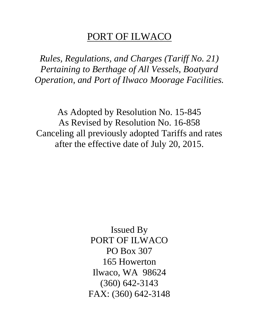# PORT OF ILWACO

*Rules, Regulations, and Charges (Tariff No. 21) Pertaining to Berthage of All Vessels, Boatyard Operation, and Port of Ilwaco Moorage Facilities.*

As Adopted by Resolution No. 15-845 As Revised by Resolution No. 16-858 Canceling all previously adopted Tariffs and rates after the effective date of July 20, 2015.

> Issued By PORT OF ILWACO PO Box 307 165 Howerton Ilwaco, WA 98624 (360) 642-3143 FAX: (360) 642-3148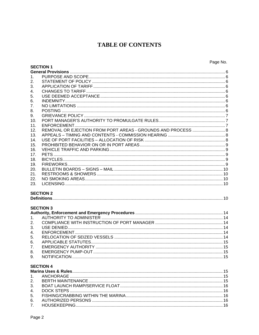### **TABLE OF CONTENTS**

|                | <b>SECTION 1</b>                                             |  |
|----------------|--------------------------------------------------------------|--|
|                |                                                              |  |
| 1.             |                                                              |  |
| 2.             |                                                              |  |
| 3.             |                                                              |  |
| 4.             |                                                              |  |
| 5.             |                                                              |  |
| 6.             |                                                              |  |
| 7 <sub>1</sub> |                                                              |  |
| 8.             |                                                              |  |
| 9.             |                                                              |  |
| 10.            |                                                              |  |
| 11.            |                                                              |  |
| 12.            | REMOVAL OR EJECTION FROM PORT AREAS - GROUNDS AND PROCESS  8 |  |
| 13.            |                                                              |  |
| 14.            |                                                              |  |
| 15.            |                                                              |  |
| 16.            |                                                              |  |
| 17.            |                                                              |  |
| 18.            |                                                              |  |
| 19.            |                                                              |  |
| 20.            |                                                              |  |
| 21.            |                                                              |  |
| 22.            |                                                              |  |
| 23.            |                                                              |  |
|                | <b>SECTION 2</b>                                             |  |
|                |                                                              |  |
|                | <b>SECTION 3</b>                                             |  |
|                |                                                              |  |
| 1.             |                                                              |  |
| 2.             |                                                              |  |
| 3.             |                                                              |  |
| $\mathbf{4}$ . |                                                              |  |
| 5.             |                                                              |  |
| 6.             |                                                              |  |
| 7.             |                                                              |  |
| 8.             |                                                              |  |
| 9.             |                                                              |  |
|                |                                                              |  |
|                | <b>SECTION 4</b>                                             |  |
|                |                                                              |  |
| 1 <sub>1</sub> |                                                              |  |
| 2.             |                                                              |  |
| 3.             |                                                              |  |
| 4.             |                                                              |  |
| 5.             |                                                              |  |
| 6.             |                                                              |  |
| 7 <sub>1</sub> |                                                              |  |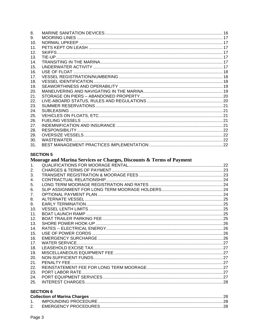| 8.              |  |
|-----------------|--|
| 9.              |  |
| 10.             |  |
| 11.             |  |
| 12.             |  |
| 13.             |  |
| 14.             |  |
| 15.             |  |
| 16.             |  |
| 17 <sub>1</sub> |  |
| 18.             |  |
| 19.             |  |
| 20.             |  |
| 21.             |  |
| 22.             |  |
| 23.             |  |
| 24.             |  |
| 25.             |  |
| 26.             |  |
| 27.             |  |
| 28.             |  |
| 29.             |  |
| 30.             |  |
| 31.             |  |

### **SECTION 5**

### Moorage and Marina Services or Charges, Discounts & Terms of Payment

| 2.  |  |
|-----|--|
| 3.  |  |
| 4.  |  |
| 5.  |  |
| 6.  |  |
| 7.  |  |
| 8.  |  |
| 9.  |  |
| 10. |  |
| 11. |  |
| 12. |  |
| 13. |  |
| 14. |  |
| 15. |  |
| 16. |  |
| 17. |  |
| 18. |  |
| 19. |  |
| 20. |  |
| 21. |  |
| 22. |  |
| 23. |  |
| 24. |  |
| 25. |  |
|     |  |

### **SECTION 6**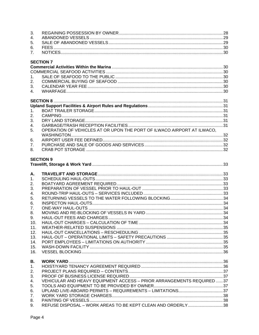| 3.             |                                                                        |  |
|----------------|------------------------------------------------------------------------|--|
| 4.             |                                                                        |  |
| 5.             |                                                                        |  |
| 6.             |                                                                        |  |
| 7.             |                                                                        |  |
|                |                                                                        |  |
|                | <b>SECTION 7</b>                                                       |  |
|                |                                                                        |  |
|                |                                                                        |  |
| 1 <sub>1</sub> |                                                                        |  |
| 2.             |                                                                        |  |
| 3.             |                                                                        |  |
| 4.             |                                                                        |  |
|                |                                                                        |  |
|                |                                                                        |  |
| 1 <sub>1</sub> |                                                                        |  |
| 2.             |                                                                        |  |
|                |                                                                        |  |
| 3.             |                                                                        |  |
| 4.             |                                                                        |  |
| 5.             | OPERATION OF VEHICLES AT OR UPON THE PORT OF ILWACO AIRPORT AT ILWACO. |  |
|                |                                                                        |  |
| 6.             |                                                                        |  |
| 7 <sub>1</sub> |                                                                        |  |
| 8.             |                                                                        |  |
|                |                                                                        |  |
|                | <b>SECTION 9</b>                                                       |  |
|                |                                                                        |  |
| А.             |                                                                        |  |
| 1 <sub>1</sub> |                                                                        |  |
|                |                                                                        |  |
|                |                                                                        |  |
| 2.             |                                                                        |  |
| 3.             |                                                                        |  |
| 4.             |                                                                        |  |
| 5.             |                                                                        |  |
| 6.             |                                                                        |  |
| 7 <sub>1</sub> |                                                                        |  |
| 8.             |                                                                        |  |
| 9.             |                                                                        |  |
| 10.            |                                                                        |  |
| 11.            |                                                                        |  |
| 12.            |                                                                        |  |
|                |                                                                        |  |
| 13.            |                                                                        |  |
| 14.            |                                                                        |  |
| 15.            |                                                                        |  |
| 16.            |                                                                        |  |
| В.             |                                                                        |  |
| 1.             |                                                                        |  |
|                |                                                                        |  |
| 2.             |                                                                        |  |
| 3.             |                                                                        |  |
| 4.             | VEHICULAR AND HEAVY EQUIPMENT ACCESS - PRIOR ARRANGEMENTS REQUIRED  37 |  |
| 5.             |                                                                        |  |
| 6.             |                                                                        |  |
| 7.             |                                                                        |  |
| 8.<br>9.       | REFUSE DISPOSAL - WORK AREAS TO BE KEPT CLEAN AND ORDERLY38            |  |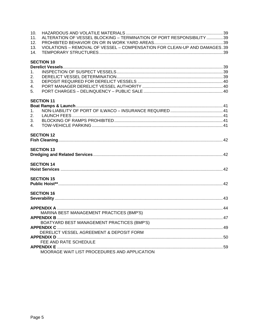<span id="page-4-0"></span>

| 10.<br>11.<br>12. | ALTERATION OF VESSEL BLOCKING - TERMINATION OF PORT RESPONSIBILITY 39     |  |
|-------------------|---------------------------------------------------------------------------|--|
| 13.<br>14.        | VIOLATIONS - REMOVAL OF VESSEL - COMPENSATION FOR CLEAN-UP AND DAMAGES.39 |  |
|                   | <b>SECTION 10</b>                                                         |  |
| 1 <sub>1</sub>    |                                                                           |  |
| 2.                |                                                                           |  |
| 3.                |                                                                           |  |
| $\mathbf{4}$      |                                                                           |  |
| 5.                |                                                                           |  |
|                   | <b>SECTION 11</b>                                                         |  |
|                   |                                                                           |  |
| 1 <sub>1</sub>    |                                                                           |  |
| 2.                |                                                                           |  |
| 3.                |                                                                           |  |
| 4 <sub>1</sub>    |                                                                           |  |
|                   | <b>SECTION 12</b>                                                         |  |
|                   | <b>SECTION 13</b>                                                         |  |
|                   |                                                                           |  |
|                   | <b>SECTION 14</b>                                                         |  |
|                   |                                                                           |  |
|                   | <b>SECTION 15</b>                                                         |  |
|                   |                                                                           |  |
|                   | <b>SECTION 16</b>                                                         |  |
|                   |                                                                           |  |
|                   |                                                                           |  |
|                   | MARINA BEST MANAGEMENT PRACTICES (BMP'S)                                  |  |
|                   |                                                                           |  |
|                   | BOATYARD BEST MANAGEMENT PRACTICES (BMP'S)                                |  |
|                   |                                                                           |  |
|                   | DERELICT VESSEL AGREEMENT & DEPOSIT FORM                                  |  |
|                   | FEE AND RATE SCHEDULE                                                     |  |
|                   |                                                                           |  |
|                   | MOORAGE WAIT LIST PROCEDURES AND APPLICATION                              |  |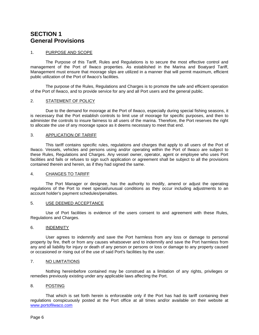### <span id="page-5-0"></span>**SECTION 1 General Provisions**

#### <span id="page-5-1"></span>1. PURPOSE AND SCOPE

The Purpose of this Tariff, Rules and Regulations is to secure the most effective control and management of the Port of Ilwaco properties. As established in the Marina and Boatyard Tariff, Management must ensure that moorage slips are utilized in a manner that will permit maximum, efficient public utilization of the Port of Ilwaco's facilities.

The purpose of the Rules, Regulations and Charges is to promote the safe and efficient operation of the Port of Ilwaco, and to provide service for any and all Port users and the general public.

#### <span id="page-5-2"></span>2. STATEMENT OF POLICY

Due to the demand for moorage at the Port of Ilwaco, especially during special fishing seasons, it is necessary that the Port establish controls to limit use of moorage for specific purposes, and then to administer the controls to insure fairness to all users of the marina. Therefore, the Port reserves the right to allocate the use of any moorage space as it deems necessary to meet that end.

#### <span id="page-5-3"></span>3. APPLICATION OF TARIFF

This tariff contains specific rules, regulations and charges that apply to all users of the Port of Ilwaco. Vessels, vehicles and persons using and/or operating within the Port of Ilwaco are subject to these Rules, Regulations and Charges. Any vessel owner, operator, agent or employee who uses Port facilities and fails or refuses to sign such application or agreement shall be subject to all the provisions contained therein and herein, as if they had signed the same.

#### <span id="page-5-4"></span>4. CHANGES TO TARIFF

The Port Manager or designee, has the authority to modify, amend or adjust the operating regulations of the Port to meet special/unusual conditions as they occur including adjustments to an account holder's payment schedules/penalties.

#### <span id="page-5-5"></span>5. USE DEEMED ACCEPTANCE

Use of Port facilities is evidence of the users consent to and agreement with these Rules, Regulations and Charges.

#### <span id="page-5-6"></span>6. INDEMNITY

User agrees to indemnify and save the Port harmless from any loss or damage to personal property by fire, theft or from any causes whatsoever and to indemnify and save the Port harmless from any and all liability for injury or death of any person or persons or loss or damage to any property caused or occasioned or rising out of the use of said Port's facilities by the user.

#### <span id="page-5-7"></span>7. NO LIMITATIONS

Nothing hereinbefore contained may be construed as a limitation of any rights, privileges or remedies previously existing under any applicable laws affecting the Port.

#### <span id="page-5-8"></span>8. POSTING

That which is set forth herein is enforceable only if the Port has had its tariff containing their regulations conspicuously posted at the Port office at all times and/or available on their website at [www.portofilwaco.com](http://www.portofilwaco.com/)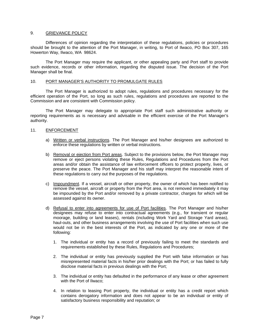#### <span id="page-6-0"></span>9. GRIEVANCE POLICY

Differences of opinion regarding the interpretation of these regulations, policies or procedures should be brought to the attention of the Port Manager, in writing, to Port of Ilwaco, PO Box 307, 165 Howerton Way, Ilwaco, WA 98624.

The Port Manager may require the applicant, or other appealing party and Port staff to provide such evidence, records or other information, regarding the disputed issue. The decision of the Port Manager shall be final.

#### <span id="page-6-1"></span>10. PORT MANAGER'S AUTHORITY TO PROMULGATE RULES

The Port Manager is authorized to adopt rules, regulations and procedures necessary for the efficient operation of the Port, so long as such rules, regulations and procedures are reported to the Commission and are consistent with Commission policy.

The Port Manager may delegate to appropriate Port staff such administrative authority or reporting requirements as is necessary and advisable in the efficient exercise of the Port Manager's authority.

#### <span id="page-6-2"></span>11. ENFORCEMENT

- a) Written or verbal instructions. The Port Manager and his/her designees are authorized to enforce these regulations by written or verbal instructions.
- b) Removal or ejection from Port areas. Subject to the provisions below, the Port Manager may remove or eject persons violating these Rules, Regulations and Procedures from the Port areas and/or obtain the assistance of law enforcement officers to protect property, lives, or preserve the peace. The Port Manager and his staff may interpret the reasonable intent of these regulations to carry out the purposes of the regulations.
- c) Impoundment. If a vessel, aircraft or other property, the owner of which has been notified to remove the vessel, aircraft or property from the Port area, is not removed immediately it may be impounded by the Port and/or removed by a private contractor, charges for which will be assessed against its owner.
- d) Refusal to enter into agreements for use of Port facilities. The Port Manager and his/her designees may refuse to enter into contractual agreements (e.g., for transient or regular moorage, building or land leases), rentals (including Work Yard and Storage Yard areas), haul-outs, and other business arrangements involving the use of Port facilities when such use would not be in the best interests of the Port, as indicated by any one or more of the following:
	- 1. The individual or entity has a record of previously failing to meet the standards and requirements established by these Rules, Regulations and Procedures;
	- 2. The individual or entity has previously supplied the Port with false information or has misrepresented material facts in his/her prior dealings with the Port; or has failed to fully disclose material facts in previous dealings with the Port;
	- 3. The individual or entity has defaulted in the performance of any lease or other agreement with the Port of Ilwaco;
	- 4. In relation to leasing Port property, the individual or entity has a credit report which contains derogatory information and does not appear to be an individual or entity of satisfactory business responsibility and reputation; or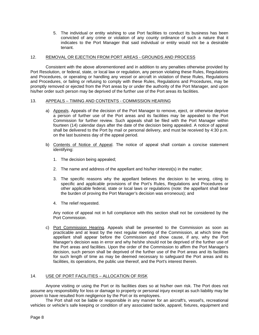5. The individual or entity wishing to use Port facilities to conduct its business has been convicted of any crime or violation of any county ordinance of such a nature that it indicates to the Port Manager that said individual or entity would not be a desirable tenant.

#### <span id="page-7-0"></span>12. REMOVAL OR EJECTION FROM PORT AREAS - GROUNDS AND PROCESS

Consistent with the above aforementioned and in addition to any penalties otherwise provided by Port Resolution, or federal, state, or local law or regulation, any person violating these Rules, Regulations and Procedures, or operating or handling any vessel or aircraft in violation of these Rules, Regulations and Procedures, or failing or refusing to comply with these Rules, Regulations and Procedures, may be promptly removed or ejected from the Port areas by or under the authority of the Port Manager, and upon his/her order such person may be deprived of the further use of the Port areas its facilities.

#### <span id="page-7-1"></span>13. APPEALS – TIMING AND CONTENTS - COMMISSION HEARING

- a) Appeals. Appeals of the decision of the Port Manager to remove, eject, or otherwise deprive a person of further use of the Port areas and its facilities may be appealed to the Port Commission for further review. Such appeals shall be filed with the Port Manager within fourteen (14) calendar days after the date of the decision being appealed. A notice of appeal shall be delivered to the Port by mail or personal delivery, and must be received by 4:30 p.m. on the last business day of the appeal period.
- b) Contents of Notice of Appeal. The notice of appeal shall contain a concise statement identifying:
	- 1. The decision being appealed;
	- 2. The name and address of the appellant and his/her interest(s) in the matter;
	- 3. The specific reasons why the appellant believes the decision to be wrong, citing to specific and applicable provisions of the Port's Rules, Regulations and Procedures or other applicable federal, state or local laws or regulations (note: the appellant shall bear the burden of proving the Port Manager's decision was erroneous); and
	- 4. The relief requested.

Any notice of appeal not in full compliance with this section shall not be considered by the Port Commission.

c) Port Commission Hearing. Appeals shall be presented to the Commission as soon as practicable and at least by the next regular meeting of the Commission, at which time the appellant shall appear before the Commission and show cause, if any, why the Port Manager's decision was in error and why he/she should not be deprived of the further use of the Port areas and facilities. Upon the order of the Commission to affirm the Port Manager's decision, such person shall be deprived of the further use of the Port areas and its facilities for such length of time as may be deemed necessary to safeguard the Port areas and its facilities, its operations, the public use thereof, and the Port's interest therein.

#### <span id="page-7-2"></span>14. USE OF PORT FACILITIES – ALLOCATION OF RISK

Anyone visiting or using the Port or its facilities does so at his/her own risk. The Port does not assume any responsibility for loss or damage to property or personal injury except as such liability may be proven to have resulted from negligence by the Port or its employees.

The Port shall not be liable or responsible in any manner for an aircraft's, vessel's, recreational vehicles or vehicle's safe keeping or condition of any associated tackle, apparel, fixtures, equipment and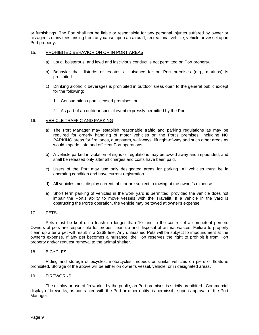or furnishings. The Port shall not be liable or responsible for any personal injuries suffered by owner or his agents or invitees arising from any cause upon an aircraft, recreational vehicle, vehicle or vessel upon Port property.

#### <span id="page-8-0"></span>15. PROHIBITED BEHAVIOR ON OR IN PORT AREAS

- a) Loud, boisterous, and lewd and lascivious conduct is not permitted on Port property.
- b) Behavior that disturbs or creates a nuisance for on Port premises (e.g., marinas) is prohibited.
- c) Drinking alcoholic beverages is prohibited in outdoor areas open to the general public except for the following:
	- 1. Consumption upon licensed premises; or
	- 2. As part of an outdoor special event expressly permitted by the Port.

#### <span id="page-8-1"></span>16. VEHICLE TRAFFIC AND PARKING

- a) The Port Manager may establish reasonable traffic and parking regulations as may be required for orderly handling of motor vehicles on the Port's premises, including NO PARKING areas for fire lanes, dumpsters, walkways, lift right-of-way and such other areas as would impede safe and efficient Port operations.
- b) A vehicle parked in violation of signs or regulations may be towed away and impounded, and shall be released only after all charges and costs have been paid.
- c) Users of the Port may use only designated areas for parking. All vehicles must be in operating condition and have current registration.
- d) All vehicles must display current tabs or are subject to towing at the owner's expense.
- e) Short term parking of vehicles in the work yard is permitted, provided the vehicle does not impair the Port's ability to move vessels with the Travelift. If a vehicle in the yard is obstructing the Port's operation, the vehicle may be towed at owner's expense.

#### <span id="page-8-2"></span>17. PETS

Pets must be kept on a leash no longer than 10' and in the control of a competent person. Owners of pets are responsible for proper clean up and disposal of animal wastes. Failure to properly clean up after a pet will result in a \$268 fine. Any unleashed Pets will be subject to impoundment at the owner's expense. If any pet becomes a nuisance, the Port reserves the right to prohibit it from Port property and/or request removal to the animal shelter.

#### <span id="page-8-3"></span>18. BICYCLES

Riding and storage of bicycles, motorcycles, mopeds or similar vehicles on piers or floats is prohibited. Storage of the above will be either on owner's vessel, vehicle, or in designated areas.

#### <span id="page-8-4"></span>19. FIREWORKS

<span id="page-8-5"></span>The display or use of fireworks, by the public, on Port premises is strictly prohibited. Commercial display of fireworks, as contracted with the Port or other entity, is permissible upon approval of the Port Manager.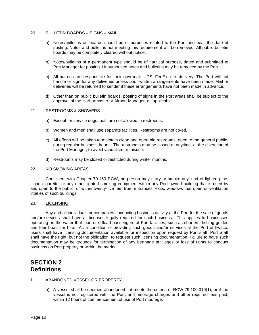#### 20. BULLETIN BOARDS – SIGNS – MAIL

- a) Notes/bulletins on boards should be of purposes related to the Port and bear the date of posting. Notes and bulletins not meeting this requirement will be removed. All public bulletin boards may be completely cleared without notice.
- b) Notes/bulletins of a permanent type should be of nautical purpose, dated and submitted to Port Manager for posting. Unauthorized notes and bulletins may be removed by the Port.
- c) All patrons are responsible for their own mail, UPS, FedEx, etc. delivery. The Port will not handle or sign for any deliveries unless prior written arrangements have been made. Mail or deliveries will be returned to sender if these arrangements have not been made in advance.
- d) Other than on public bulletin boards, posting of signs in the Port areas shall be subject to the approval of the Harbormaster or Airport Manager, as applicable.

#### <span id="page-9-0"></span>21. RESTROOMS & SHOWERS

- a) Except for service dogs, pets are not allowed in restrooms.
- b) Women and men shall use separate facilities. Restrooms are not co-ed.
- c) All efforts will be taken to maintain clean and operable restrooms, open to the general public, during regular business hours. The restrooms may be closed at anytime, at the discretion of the Port Manager, to avoid vandalism or misuse.
- d) Restrooms may be closed or restricted during winter months.

#### <span id="page-9-1"></span>22. NO SMOKING AREAS

Consistent with Chapter 70.160 RCW, no person may carry or smoke any kind of lighted pipe, cigar, cigarette, or any other lighted smoking equipment within any Port owned building that is used by and open to the public, or within twenty-five feet from entrances, exits, windows that open or ventilation intakes of such buildings.

#### <span id="page-9-2"></span>23. LICENSING

Any and all individuals or companies conducting business activity at the Port for the sale of goods and/or services shall have all licenses legally required for such business. This applies to businesses operating on the water that load or offload passengers at Port facilities, such as charters, fishing guides and tour boats for hire. As a condition of providing such goods and/or services at the Port of Ilwaco, users shall have licensing documentation available for inspection upon request by Port staff. Port Staff shall have the right, but not the obligation, to request such licensing documentation. Failure to have such documentation may be grounds for termination of any berthage privileges or loss of rights to conduct business on Port property or within the marina.

### <span id="page-9-4"></span><span id="page-9-3"></span>**SECTION 2 Definitions**

#### 1. ABANDONED VESSEL OR PROPERTY

a) A vessel shall be deemed abandoned if it meets the criteria of RCW 79.100.010(1); or if the vessel is not registered with the Port, and moorage charges and other required fees paid, within 12 hours of commencement of use of Port moorage.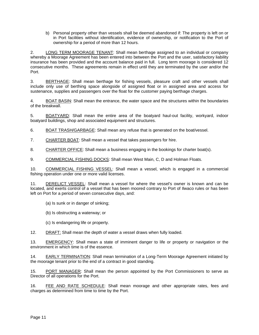b) Personal property other than vessels shall be deemed abandoned if: The property is left on or in Port facilities without identification, evidence of ownership, or notification to the Port of ownership for a period of more than 12 hours.

2. LONG TERM MOORAGE TENANT: Shall mean berthage assigned to an individual or company whereby a Moorage Agreement has been entered into between the Port and the user, satisfactory liability insurance has been provided and the account balance paid in full. Long term moorage is considered 12 consecutive months. These agreements remain in effect until they are terminated by the user and/or the Port.

3. BERTHAGE: Shall mean berthage for fishing vessels, pleasure craft and other vessels shall include only use of berthing space alongside of assigned float or in assigned area and access for sustenance, supplies and passengers over the float for the customer paying berthage charges.

4. BOAT BASIN: Shall mean the entrance, the water space and the structures within the boundaries of the breakwall.

5. BOATYARD: Shall mean the entire area of the boatyard haul-out facility, workyard, indoor boatyard buildings, shop and associated equipment and structures.

6. BOAT TRASH/GARBAGE: Shall mean any refuse that is generated on the boat/vessel.

7. CHARTER BOAT: Shall mean a vessel that takes passengers for hire.

8. CHARTER OFFICE: Shall mean a business engaging in the bookings for charter boat(s).

9. COMMERCIAL FISHING DOCKS: Shall mean West Main, C, D and Holman Floats.

10. COMMERCIAL FISHING VESSEL: Shall mean a vessel, which is engaged in a commercial fishing operation under one or more valid licenses.

11. DERELICT VESSEL: Shall mean a vessel for where the vessel's owner is known and can be located, and exerts control of a vessel that has been moored contrary to Port of Ilwaco rules or has been left on Port for a period of seven consecutive days, and:

- (a) Is sunk or in danger of sinking;
- (b) Is obstructing a waterway; or
- (c) Is endangering life or property.

12. DRAFT: Shall mean the depth of water a vessel draws when fully loaded.

13. EMERGENCY: Shall mean a state of imminent danger to life or property or navigation or the environment in which time is of the essence.

14. EARLY TERMINATION: Shall mean termination of a Long-Term Moorage Agreement initiated by the moorage tenant prior to the end of a contract in good standing.

15. PORT MANAGER: Shall mean the person appointed by the Port Commissioners to serve as Director of all operations for the Port.

16. FEE AND RATE SCHEDULE: Shall mean moorage and other appropriate rates, fees and charges as determined from time to time by the Port.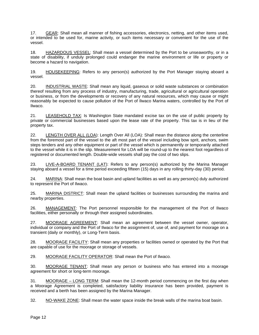17. GEAR: Shall mean all manner of fishing accessories, electronics, netting, and other items used, or intended to be used for, marine activity, or such items necessary or convenient for the use of the vessel.

18. HAZARDOUS VESSEL: Shall mean a vessel determined by the Port to be unseaworthy, or in a state of disability, if unduly prolonged could endanger the marine environment or life or property or become a hazard to navigation.

19. HOUSEKEEPING: Refers to any person(s) authorized by the Port Manager staying aboard a vessel.

20. INDUSTRIAL WASTE: Shall mean any liquid, gaseous or solid waste substances or combination thereof resulting from any process of industry, manufacturing, trade, agricultural or agricultural operation or business, or from the developments or recovery of any natural resources, which may cause or might reasonably be expected to cause pollution of the Port of Ilwaco Marina waters, controlled by the Port of Ilwaco.

21. LEASEHOLD TAX: Is Washington State mandated excise tax on the use of public property by private or commercial businesses based upon the lease rate of the property. This tax is in lieu of the property tax.

22. LENGTH OVER ALL (LOA): Length Over All (LOA): Shall mean the distance along the centerline from the foremost part of the vessel to the aft most part of the vessel including bow sprit, anchors, swim steps tenders and any other equipment or part of the vessel which is permanently or temporarily attached to the vessel while it is in the slip. Measurement for LOA will be round-up to the nearest foot regardless of registered or documented length. Double-wide vessels shall pay the cost of two slips.

23. LIVE-A-BOARD TENANT (LAT): Refers to any person(s) authorized by the Marina Manager staying aboard a vessel for a time period exceeding fifteen (15) days in any rolling thirty-day (30) period.

24. MARINA: Shall mean the boat basin and upland facilities as well as any person(s) duly authorized to represent the Port of Ilwaco.

25. MARINA DISTRICT: Shall mean the upland facilities or businesses surrounding the marina and nearby properties.

26. MANAGEMENT: The Port personnel responsible for the management of the Port of Ilwaco facilities, either personally or through their assigned subordinates.

27. MOORAGE AGREEMENT: Shall mean an agreement between the vessel owner, operator, individual or company and the Port of Ilwaco for the assignment of, use of, and payment for moorage on a transient (daily or monthly), or Long-Term basis.

28. MOORAGE FACILITY: Shall mean any properties or facilities owned or operated by the Port that are capable of use for the moorage or storage of vessels.

29. MOORAGE FACILITY OPERATOR: Shall mean the Port of Ilwaco.

30. MOORAGE TENANT: Shall mean any person or business who has entered into a moorage agreement for short or long-term moorage.

31. MOORAGE – LONG TERM: Shall mean the 12-month period commencing on the first day when a Moorage Agreement is completed, satisfactory liability insurance has been provided, payment is received and a berth has been assigned by the Marina Manager.

32. NO-WAKE ZONE: Shall mean the water space inside the break walls of the marina boat basin.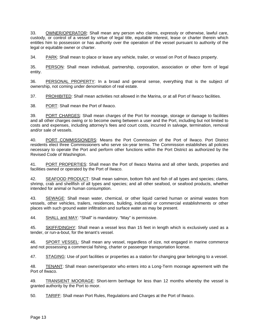33. OWNER/OPERATOR: Shall mean any person who claims, expressly or otherwise, lawful care, custody, or control of a vessel by virtue of legal title, equitable interest, lease or charter therein which entitles him to possession or has authority over the operation of the vessel pursuant to authority of the legal or equitable owner or charter.

34. PARK: Shall mean to place or leave any vehicle, trailer, or vessel on Port of Ilwaco property.

35. PERSON: Shall mean individual, partnership, corporation, association or other form of legal entity.

36. PERSONAL PROPERTY: In a broad and general sense, everything that is the subject of ownership, not coming under denomination of real estate.

37. PROHIBITED: Shall mean activities not allowed in the Marina, or at all Port of Ilwaco facilities.

38. PORT: Shall mean the Port of Ilwaco.

39. PORT CHARGES: Shall mean charges of the Port for moorage, storage or damage to facilities and all other charges owing or to become owing between a user and the Port, including but not limited to costs and expenses, including attorney's fees and court costs, incurred in salvage, termination, removal and/or sale of vessels.

40. PORT COMMISSIONERS: Means the Port Commission of the Port of Ilwaco. Port District residents elect three Commissioners who serve six-year terms. The Commission establishes all policies necessary to operate the Port and perform other functions within the Port District as authorized by the Revised Code of Washington.

41. PORT PROPERTIES: Shall mean the Port of Ilwaco Marina and all other lands, properties and facilities owned or operated by the Port of Ilwaco.

42. SEAFOOD PRODUCT: Shall mean salmon, bottom fish and fish of all types and species; clams, shrimp, crab and shellfish of all types and species; and all other seafood, or seafood products, whether intended for animal or human consumption.

43. SEWAGE: Shall mean water, chemical, or other liquid carried human or animal wastes from vessels, other vehicles, trailers, residences, building, industrial or commercial establishments or other places with such ground water infiltration and surface water as may be present.

44. SHALL and MAY: "Shall" is mandatory. "May" is permissive.

45. SKIFF/DINGHY: Shall mean a vessel less than 15 feet in length which is exclusively used as a tender, or run-a-bout, for the tenant's vessel.

46. SPORT VESSEL: Shall mean any vessel, regardless of size, not engaged in marine commerce and not possessing a commercial fishing, charter or passenger transportation license.

47. STAGING: Use of port facilities or properties as a station for changing gear belonging to a vessel.

48. TENANT: Shall mean owner/operator who enters into a Long-Term moorage agreement with the Port of Ilwaco.

49. TRANSIENT MOORAGE: Short-term berthage for less than 12 months whereby the vessel is granted authority by the Port to moor.

50. TARIFF: Shall mean Port Rules, Regulations and Charges at the Port of Ilwaco.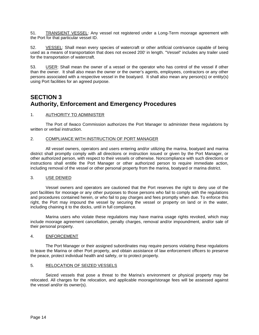51. TRANSIENT VESSEL: Any vessel not registered under a Long-Term moorage agreement with the Port for that particular vessel ID.

52. VESSEL: Shall mean every species of watercraft or other artificial contrivance capable of being used as a means of transportation that does not exceed 200' in length. "Vessel" includes any trailer used for the transportation of watercraft.

53. USER: Shall mean the owner of a vessel or the operator who has control of the vessel if other than the owner. It shall also mean the owner or the owner's agents, employees, contractors or any other persons associated with a respective vessel in the boatyard. It shall also mean any person(s) or entity(s) using Port facilities for an agreed purpose.

### <span id="page-13-1"></span><span id="page-13-0"></span>**SECTION 3 Authority, Enforcement and Emergency Procedures**

#### <span id="page-13-2"></span>1. AUTHORITY TO ADMINISTER

The Port of Ilwaco Commission authorizes the Port Manager to administer these regulations by written or verbal instruction.

#### <span id="page-13-3"></span>2. COMPLIANCE WITH INSTRUCTION OF PORT MANAGER

All vessel owners, operators and users entering and/or utilizing the marina, boatyard and marina district shall promptly comply with all directions or instruction issued or given by the Port Manager, or other authorized person, with respect to their vessels or otherwise. Noncompliance with such directions or instructions shall entitle the Port Manager or other authorized person to require immediate action, including removal of the vessel or other personal property from the marina, boatyard or marina district.

#### <span id="page-13-4"></span>3. USE DENIED

Vessel owners and operators are cautioned that the Port reserves the right to deny use of the port facilities for moorage or any other purposes to those persons who fail to comply with the regulations and procedures contained herein, or who fail to pay charges and fees promptly when due. To enforce this right, the Port may impound the vessel by securing the vessel or property on land or in the water, including chaining it to the docks, until in full compliance.

Marina users who violate these regulations may have marina usage rights revoked, which may include moorage agreement cancellation, penalty charges, removal and/or impoundment, and/or sale of their personal property.

#### <span id="page-13-5"></span>4. ENFORCEMENT

The Port Manager or their assigned subordinates may require persons violating these regulations to leave the Marina or other Port property, and obtain assistance of law enforcement officers to preserve the peace, protect individual health and safety, or to protect property.

#### <span id="page-13-6"></span>5. RELOCATION OF SEIZED VESSELS

<span id="page-13-7"></span>Seized vessels that pose a threat to the Marina's environment or physical property may be relocated. All charges for the relocation, and applicable moorage/storage fees will be assessed against the vessel and/or its owner(s).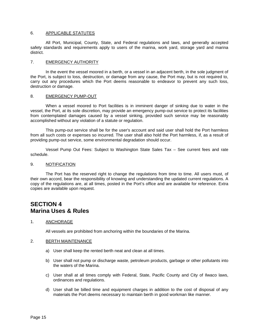#### 6. APPLICABLE STATUTES

All Port, Municipal, County, State, and Federal regulations and laws, and generally accepted safety standards and requirements apply to users of the marina, work yard, storage yard and marina district.

#### <span id="page-14-0"></span>7. EMERGENCY AUTHORITY

In the event the vessel moored in a berth, or a vessel in an adjacent berth, in the sole judgment of the Port, is subject to loss, destruction, or damage from any cause, the Port may, but is not required to, carry out any procedures which the Port deems reasonable to endeavor to prevent any such loss, destruction or damage.

#### <span id="page-14-1"></span>8. EMERGENCY PUMP-OUT

When a vessel moored to Port facilities is in imminent danger of sinking due to water in the vessel, the Port, at its sole discretion, may provide an emergency pump-out service to protect its facilities from contemplated damages caused by a vessel sinking, provided such service may be reasonably accomplished without any violation of a statute or regulation.

This pump-out service shall be for the user's account and said user shall hold the Port harmless from all such costs or expenses so incurred. The user shall also hold the Port harmless, if, as a result of providing pump-out service, some environmental degradation should occur.

Vessel Pump Out Fees: Subject to Washington State Sales Tax – See current fees and rate schedule.

#### <span id="page-14-2"></span>9. NOTIFICATION

The Port has the reserved right to change the regulations from time to time. All users must, of their own accord, bear the responsibility of knowing and understanding the updated current regulations. A copy of the regulations are, at all times, posted in the Port's office and are available for reference. Extra copies are available upon request.

### <span id="page-14-4"></span><span id="page-14-3"></span>**SECTION 4 Marina Uses & Rules**

#### <span id="page-14-5"></span>1. ANCHORAGE

All vessels are prohibited from anchoring within the boundaries of the Marina.

#### <span id="page-14-6"></span>2. BERTH MAINTENANCE

- a) User shall keep the rented berth neat and clean at all times.
- b) User shall not pump or discharge waste, petroleum products, garbage or other pollutants into the waters of the Marina.
- c) User shall at all times comply with Federal, State, Pacific County and City of Ilwaco laws, ordinances and regulations.
- <span id="page-14-7"></span>d) User shall be billed time and equipment charges in addition to the cost of disposal of any materials the Port deems necessary to maintain berth in good workman like manner.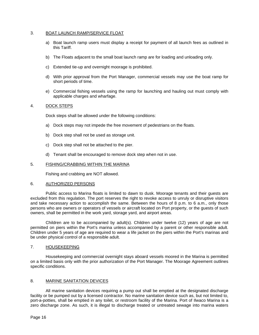#### 3. BOAT LAUNCH RAMP/SERVICE FLOAT

- a) Boat launch ramp users must display a receipt for payment of all launch fees as outlined in this Tariff.
- b) The Floats adjacent to the small boat launch ramp are for loading and unloading only.
- c) Extended tie-up and overnight moorage is prohibited.
- d) With prior approval from the Port Manager, commercial vessels may use the boat ramp for short periods of time.
- e) Commercial fishing vessels using the ramp for launching and hauling out must comply with applicable charges and wharfage.

#### <span id="page-15-0"></span>4. DOCK STEPS

Dock steps shall be allowed under the following conditions:

- a) Dock steps may not impede the free movement of pedestrians on the floats.
- b) Dock step shall not be used as storage unit.
- c) Dock step shall not be attached to the pier.
- d) Tenant shall be encouraged to remove dock step when not in use.

#### <span id="page-15-1"></span>5. FISHING/CRABBING WITHIN THE MARINA

Fishing and crabbing are NOT allowed.

#### <span id="page-15-2"></span>6. AUTHORIZED PERSONS

Public access to Marina floats is limited to dawn to dusk. Moorage tenants and their guests are excluded from this regulation. The port reserves the right to revoke access to unruly or disruptive visitors and take necessary action to accomplish the same. Between the hours of 8 p.m. to 6 a.m., only those persons who are owners or operators of vessels or aircraft located on Port property, or the guests of such owners, shall be permitted in the work yard, storage yard, and airport areas.

Children are to be accompanied by adult(s). Children under twelve (12) years of age are not permitted on piers within the Port's marina unless accompanied by a parent or other responsible adult. Children under 5 years of age are required to wear a life jacket on the piers within the Port's marinas and be under physical control of a responsible adult.

#### <span id="page-15-3"></span>7. HOUSEKEEPING

Housekeeping and commercial overnight stays aboard vessels moored in the Marina is permitted on a limited basis only with the prior authorization of the Port Manager. The Moorage Agreement outlines specific conditions.

#### <span id="page-15-4"></span>8. MARINE SANITATION DEVICES

All marine sanitation devices requiring a pump out shall be emptied at the designated discharge facility or be pumped out by a licensed contractor. No marine sanitation device such as, but not limited to, port-a-potties, shall be emptied in any toilet, or restroom facility of the Marina. Port of Ilwaco Marina is a zero discharge zone. As such, it is illegal to discharge treated or untreated sewage into marina waters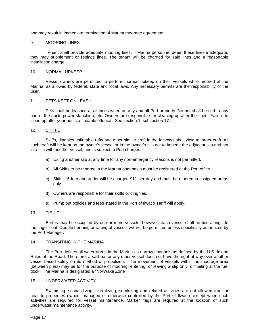<span id="page-16-0"></span>and may result in immediate termination of Marina moorage agreement.

#### 9. MOORING LINES

Tenant shall provide adequate mooring lines. If Marina personnel deem these lines inadequate, they may supplement or replace lines. The tenant will be charged for said lines and a reasonable installation charge.

#### <span id="page-16-1"></span>10. NORMAL UPKEEP

Vessel owners are permitted to perform normal upkeep on their vessels while moored at the Marina, as allowed by federal, state and local laws. Any necessary permits are the responsibility of the user.

#### <span id="page-16-2"></span>11. PETS KEPT ON LEASH

Pets shall be leashed at all times when on any and all Port property. No pet shall be tied to any part of the dock, power stanchion, etc. Owners are responsible for cleaning up after their pet. Failure to clean up after your pet is a fineable offense. See section 1, subsection 17.

#### <span id="page-16-3"></span>12. SKIFFS

Skiffs, dinghies, inflatable rafts and other similar craft in the fairways shall yield to larger craft. All such craft will be kept on the owner's vessel or in the owner's slip not to impede the adjacent slip and not in a slip with another vessel, and is subject to Port charges.

- a) Using another slip at any time for any non-emergency reasons is not permitted.
- b) All Skiffs to be moored in the Marina boat basin must be registered at the Port office.
- c) Skiffs 15 feet and under will be charged \$11 per day and must be moored in assigned areas only.
- d) Owners are responsible for their skiffs or dinghies.
- e) Pump out policies and fees stated in the Port of Ilwaco Tariff will apply.

#### <span id="page-16-4"></span>13. TIE-UP

Berths may be occupied by one or more vessels; however, each vessel shall be tied alongside the finger float. Double berthing or rafting of vessels will not be permitted unless specifically authorized by the Port Manager.

#### <span id="page-16-5"></span>14. TRANSITING IN THE MARINA

The Port defines all water areas in the Marina as narrow channels as defined by the U.S. Inland Rules of the Road. Therefore, a sailboat or any other vessel does not have the right-of-way over another vessel based solely on its method of propulsion. The movement of vessels within the moorage area (between piers) may be for the purpose of mooring, entering, or leaving a slip only, or fueling at the fuel dock. The Marina is designated a "No-Wake Zone".

#### <span id="page-16-6"></span>15. UNDERWATER ACTIVITY

Swimming, scuba diving, skin diving, snorkeling and related activities are not allowed from or near to properties owned, managed or otherwise controlled by the Port of Ilwaco, except when such activities are required for vessel maintenance. Marker flags are required at the location of such underwater maintenance activity.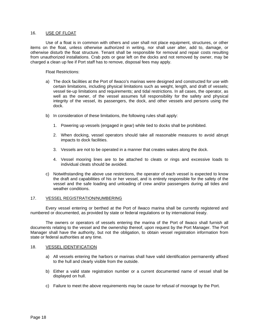#### <span id="page-17-0"></span>16. USE OF FLOAT

Use of a float is in common with others and user shall not place equipment, structures, or other items on the float, unless otherwise authorized in writing, nor shall user alter, add to, damage, or otherwise disturb the float structure. Tenant shall be responsible for removal and repair costs resulting from unauthorized installations. Crab pots or gear left on the docks and not removed by owner, may be charged a clean up fee if Port staff has to remove, disposal fees may apply.

Float Restrictions:

- a) The dock facilities at the Port of Ilwaco's marinas were designed and constructed for use with certain limitations, including physical limitations such as weight, length, and draft of vessels; vessel tie-up limitations and requirements; and tidal restrictions. In all cases, the operator, as well as the owner, of the vessel assumes full responsibility for the safety and physical integrity of the vessel, its passengers, the dock, and other vessels and persons using the dock.
- b) In consideration of these limitations, the following rules shall apply:
	- 1. Powering up vessels (engaged in gear) while tied to docks shall be prohibited.
	- 2. When docking, vessel operators should take all reasonable measures to avoid abrupt impacts to dock facilities.
	- 3. Vessels are not to be operated in a manner that creates wakes along the dock.
	- 4. Vessel mooring lines are to be attached to cleats or rings and excessive loads to individual cleats should be avoided.
- c) Notwithstanding the above use restrictions, the operator of each vessel is expected to know the draft and capabilities of his or her vessel, and is entirely responsible for the safety of the vessel and the safe loading and unloading of crew and/or passengers during all tides and weather conditions.

#### <span id="page-17-1"></span>17. VESSEL REGISTRATION/NUMBERING

Every vessel entering or berthed at the Port of Ilwaco marina shall be currently registered and numbered or documented, as provided by state or federal regulations or by international treaty.

The owners or operators of vessels entering the marina of the Port of Ilwaco shall furnish all documents relating to the vessel and the ownership thereof, upon request by the Port Manager. The Port Manager shall have the authority, but not the obligation, to obtain vessel registration information from state or federal authorities at any time.

#### <span id="page-17-2"></span>18. VESSEL IDENTIFICATION

- a) All vessels entering the harbors or marinas shall have valid identification permanently affixed to the hull and clearly visible from the outside.
- b) Either a valid state registration number or a current documented name of vessel shall be displayed on hull.
- <span id="page-17-3"></span>c) Failure to meet the above requirements may be cause for refusal of moorage by the Port.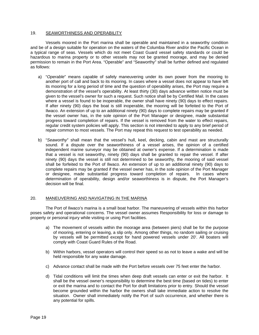#### 19. SEAWORTHINESS AND OPERABILITY

Vessels moored in the Port marina shall be operable and maintained in a seaworthy condition and be of a design suitable for operation on the waters of the Columbia River and/or the Pacific Ocean in a typical range of seas. Vessels which do not meet Coast Guard vessel safety standards or could be hazardous to marina property or to other vessels may not be granted moorage, and may be denied permission to remain in the Port Area. "Operable" and "Seaworthy" shall be further defined and regulated as follows:

- a) "*Operable*" means capable of safely maneuvering under its own power from the mooring to another port of call and back to its mooring. In cases where a vessel does not appear to have left its mooring for a long period of time and the question of operability arises, the Port may require a demonstration of the vessel's operability. At least thirty (30) days advance written notice must be given to the vessel's owner for such a request. Such notice shall be by Certified Mail. In the cases where a vessel is found to be inoperable, the owner shall have ninety (90) days to effect repairs. If after ninety (90) days the boat is still inoperable, the mooring will be forfeited to the Port of Ilwaco. An extension of up to an additional ninety (90) days to complete repairs may be granted if the vessel owner has, in the sole opinion of the Port Manager or designee, made substantial progress toward completion of repairs. If the vessel is removed from the water to effect repairs, regular credit system policies will apply. This section is not intended to apply to any brief period of repair common to most vessels. The Port may repeat this request to test operability as needed.
- b) "*Seaworthy*" shall mean that the vessel's hull, keel, decking, cabin and mast are structurally sound. If a dispute over the seaworthiness of a vessel arises, the opinion of a certified independent marine surveyor may be obtained at owner's expense. If a determination is made that a vessel is not seaworthy, ninety (90) days shall be granted to repair the vessel. If after ninety (90) days the vessel is still not determined to be seaworthy, the mooring of said vessel shall be forfeited to the Port of Ilwaco. An extension of up to an additional ninety (90) days to complete repairs may be granted if the vessel owner has, in the sole opinion of the Port Manager or designee, made substantial progress toward completion of repairs. In cases where determination of operability, design and/or seaworthiness is in dispute, the Port Manager's decision will be final.

#### <span id="page-18-0"></span>20. MANEUVERING AND NAVIGATING IN THE MARINA

The Port of Ilwaco's marina is a small boat harbor. The maneuvering of vessels within this harbor poses safety and operational concerns. The vessel owner assumes Responsibility for loss or damage to property or personal injury while visiting or using Port facilities.

- a) The movement of vessels within the moorage area (between piers) shall be for the purpose of mooring, entering or leaving, a slip only. Among other things, no random sailing or cruising by vessels will be permitted except for hand powered vessels under 20'. All boaters will comply with Coast Guard Rules of the Road.
- b) Within harbors, vessel operators will control their speed so as not to leave a wake and will be held responsible for any wake damage.
- c) Advance contact shall be made with the Port before vessels over 75 feet enter the harbor.
- d) Tidal conditions will limit the times when deep draft vessels can enter or exit the harbor. It shall be the vessel owner's responsibility to determine the best time (based on tides) to enter or exit the marina and to contact the Port for draft limitations prior to entry. Should the vessel become grounded within the harbor the owners shall take immediate action to resolve the situation. Owner shall immediately notify the Port of such occurrence, and whether there is any potential for spills.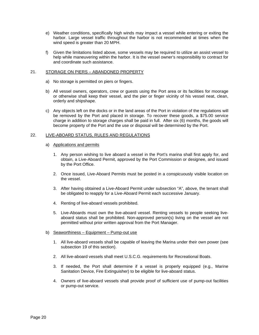- e) Weather conditions, specifically high winds may impact a vessel while entering or exiting the harbor. Large vessel traffic throughout the harbor is not recommended at times when the wind speed is greater than 20 MPH.
- f) Given the limitations listed above, some vessels may be required to utilize an assist vessel to help while maneuvering within the harbor. It is the vessel owner's responsibility to contract for and coordinate such assistance.

#### <span id="page-19-0"></span>21. STORAGE ON PIERS – ABANDONED PROPERTY

- a) No storage is permitted on piers or fingers.
- b) All vessel owners, operators, crew or guests using the Port area or its facilities for moorage or otherwise shall keep their vessel, and the pier or finger vicinity of his vessel neat, clean, orderly and shipshape.
- c) Any objects left on the docks or in the land areas of the Port in violation of the regulations will be removed by the Port and placed in storage. To recover these goods, a \$75.00 service charge in addition to storage charges shall be paid in full. After six (6) months, the goods will become property of the Port and the use or disposal will be determined by the Port.

#### <span id="page-19-1"></span>22. LIVE-ABOARD STATUS, RULES AND REGULATIONS

- a) Applications and permits
	- 1. Any person wishing to live aboard a vessel in the Port's marina shall first apply for, and obtain, a Live-Aboard Permit, approved by the Port Commission or designee, and issued by the Port Office.
	- 2. Once issued, Live-Aboard Permits must be posted in a conspicuously visible location on the vessel.
	- 3. After having obtained a Live-Aboard Permit under subsection "A", above, the tenant shall be obligated to reapply for a Live-Aboard Permit each successive January.
	- 4. Renting of live-aboard vessels prohibited.
	- 5. Live-Aboards must own the live-aboard vessel. Renting vessels to people seeking liveaboard status shall be prohibited. Non-approved person(s) living on the vessel are not permitted without prior written approval from the Port Manager.
- b) Seaworthiness Equipment Pump-out use
	- 1. All live-aboard vessels shall be capable of leaving the Marina under their own power (see subsection 19 of this section).
	- 2. All live-aboard vessels shall meet U.S.C.G. requirements for Recreational Boats.
	- 3. If needed, the Port shall determine if a vessel is properly equipped (e.g., Marine Sanitation Device, Fire Extinguisher) to be eligible for live-aboard status.
	- 4. Owners of live-aboard vessels shall provide proof of sufficient use of pump-out facilities or pump-out service.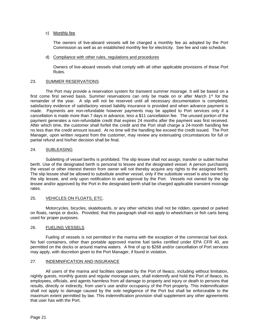#### c) Monthly fee

The owners of live-aboard vessels will be charged a monthly fee as adopted by the Port Commission as well as an established monthly fee for electricity. See fee and rate schedule.

#### d) Compliance with other rules, regulations and procedures

Owners of live-aboard vessels shall comply with all other applicable provisions of these Port Rules.

#### <span id="page-20-0"></span>23. SUMMER RESERVATIONS

The Port may provide a reservation system for transient summer moorage. It will be based on a first come first served basis. Summer reservations can only be made on or after March  $1<sup>st</sup>$  for the remainder of the year. A slip will not be reserved until all necessary documentation is completed, satisfactory evidence of satisfactory vessel liability insurance is provided and when advance payment is made. Payments are non-refundable however payments may be applied to Port services only if a cancellation is made more than 7 days in advance, less a \$11 cancellation fee. The unused portion of the payment generates a non-refundable credit that expires 24 months after the payment was first received. After which time, the customer shall forfeit the credit and the Port shall charge a 24-month handling fee no less than the credit amount issued. At no time will the handling fee exceed the credit issued. The Port Manager, upon written request from the customer, may review any extenuating circumstances for full or partial refund and his/her decision shall be final.

#### <span id="page-20-1"></span>24. SUBLEASING

Subletting of vessel berths is prohibited. The slip lessee shall not assign, transfer or sublet his/her berth. Use of the designated berth is personal to lessee and the designated vessel. A person purchasing the vessel or other interest therein from owner will not thereby acquire any rights to the assigned berth. The slip lessee shall be allowed to substitute another vessel, only if the substitute vessel is also owned by the slip lessee, and only upon notification to and approval by the Port. Vessels not owned by the slip lessee and/or approved by the Port in the designated berth shall be charged applicable transient moorage rates.

#### <span id="page-20-2"></span>25. VEHICLES ON FLOATS, ETC.

Motorcycles, bicycles, skateboards, or any other vehicles shall not be ridden, operated or parked on floats, ramps or docks. Provided, that this paragraph shall not apply to wheelchairs or fish carts being used for proper purposes.

#### <span id="page-20-3"></span>26. FUELING VESSELS

Fueling of vessels is not permitted in the marina with the exception of the commercial fuel dock. No fuel containers, other than portable approved marine fuel tanks certified under EPA CFR 40, are permitted on the docks or around marina waters. A fine of up to \$268 and/or cancellation of Port services may apply, with discretion given to the Port Manager, if found in violation.

#### <span id="page-20-4"></span>27. INDEMNIFICATION AND INSURANCE

All users of the marina and facilities operated by the Port of Ilwaco, including without limitation, nightly guests, monthly guests and regular moorage users, shall indemnify and hold the Port of Ilwaco, its employees, officials, and agents harmless from all damage to property and injury or death to persons that results, directly or indirectly, from user's use and/or occupancy of the Port property. This indemnification shall not apply to damage caused by the sole negligence of the Port but shall be enforceable to the maximum extent permitted by law. This indemnification provision shall supplement any other agreements that user has with the Port.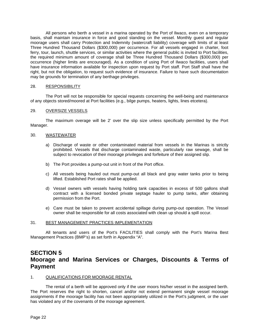All persons who berth a vessel in a marina operated by the Port of Ilwaco, even on a temporary basis, shall maintain insurance in force and good standing on the vessel. Monthly guest and regular moorage users shall carry Protection and Indemnity (watercraft liability) coverage with limits of at least Three Hundred Thousand Dollars (\$300,000) per occurrence. For all vessels engaged in charter, foot ferry, tour, launch, shuttle services, or similar activities where the general public is invited to Port facilities, the required minimum amount of coverage shall be Three Hundred Thousand Dollars (\$300,000) per occurrence (higher limits are encouraged). As a condition of using Port of Ilwaco facilities, users shall have insurance information available for inspection upon request by Port staff. Port Staff shall have the right, but not the obligation, to request such evidence of insurance. Failure to have such documentation may be grounds for termination of any berthage privileges.

#### <span id="page-21-0"></span>28. RESPONSIBILITY

The Port will not be responsible for special requests concerning the well-being and maintenance of any objects stored/moored at Port facilities (e.g., bilge pumps, heaters, lights, lines etcetera).

#### <span id="page-21-1"></span>29. OVERSIZE VESSELS

The maximum overage will be 2' over the slip size unless specifically permitted by the Port Manager.

#### <span id="page-21-2"></span>30. WASTEWATER

- a) Discharge of waste or other contaminated material from vessels in the Marinas is strictly prohibited. Vessels that discharge contaminated waste, particularly raw sewage, shall be subject to revocation of their moorage privileges and forfeiture of their assigned slip.
- b) The Port provides a pump-out unit in front of the Port office.
- c) All vessels being hauled out must pump-out all black and gray water tanks prior to being lifted. Established Port rates shall be applied.
- d) Vessel owners with vessels having holding tank capacities in excess of 500 gallons shall contract with a licensed bonded private septage hauler to pump tanks, after obtaining permission from the Port.
- e) Care must be taken to prevent accidental spillage during pump-out operation. The Vessel owner shall be responsible for all costs associated with clean up should a spill occur.

#### <span id="page-21-3"></span>31. BEST MANAGEMENT PRACTICES IMPLEMENTATION

All tenants and users of the Port's FACILITIES shall comply with the Port's Marina Best Management Practices (BMP's) as set forth in Appendix "A".

### <span id="page-21-4"></span>**SECTION 5 Moorage and Marina Services or Charges, Discounts & Terms of Payment**

#### <span id="page-21-5"></span>1. QUALIFICATIONS FOR MOORAGE RENTAL

The rental of a berth will be approved only if the user moors his/her vessel in the assigned berth. The Port reserves the right to shorten, cancel and/or not extend permanent single vessel moorage assignments if the moorage facility has not been appropriately utilized in the Port's judgment, or the user has violated any of the covenants of the moorage agreement.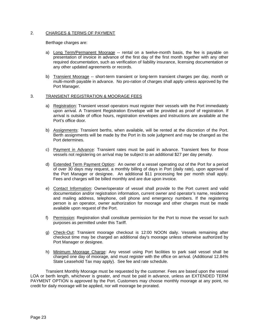#### <span id="page-22-0"></span>2. CHARGES & TERMS OF PAYMENT

Berthage charges are:

- a) Long Term/Permanent Moorage -- rental on a twelve-month basis, the fee is payable on presentation of invoice in advance of the first day of the first month together with any other required documentation, such as verification of liability insurance, licensing documentation or any other updated agreements or records.
- b) Transient Moorage -- short-term transient or long-term transient charges per day, month or multi-month payable in advance. No pro-ration of charges shall apply unless approved by the Port Manager.

#### <span id="page-22-1"></span>3. TRANSIENT REGISTRATION & MOORAGE FEES

- a) Registration: Transient vessel operators must register their vessels with the Port immediately upon arrival. A Transient Registration Envelope will be provided as proof of registration. If arrival is outside of office hours, registration envelopes and instructions are available at the Port's office door.
- b) Assignments: Transient berths, when available, will be rented at the discretion of the Port. Berth assignments will be made by the Port in its sole judgment and may be changed as the Port determines.
- c) Payment in Advance: Transient rates must be paid in advance. Transient fees for those vessels not registering on arrival may be subject to an additional \$27 per day penalty.
- d) Extended Term Payment Option: An owner of a vessel operating out of the Port for a period of over 30 days may request, a monthly billing of days in Port (daily rate), upon approval of the Port Manager or designee. An additional \$11 processing fee per month shall apply. Fees and charges will be billed monthly and are due upon invoice.
- e) Contact Information: Owner/operator of vessel shall provide to the Port current and valid documentation and/or registration information, current owner and operator's name, residence and mailing address, telephone, cell phone and emergency numbers. If the registering person is an operator, owner authorization for moorage and other charges must be made available upon request of the Port.
- f) Permission: Registration shall constitute permission for the Port to move the vessel for such purposes as permitted under this Tariff.
- g) Check-Out: Transient moorage checkout is 12:00 NOON daily. Vessels remaining after checkout time may be charged an additional day's moorage unless otherwise authorized by Port Manager or designee.
- h) Minimum Moorage Charge: Any vessel using Port facilities to park said vessel shall be charged one day of moorage, and must register with the office on arrival. (Additional 12.84% State Leasehold Tax may apply). See fee and rate schedule.

<span id="page-22-2"></span>Transient Monthly Moorage must be requested by the customer. Fees are based upon the vessel LOA or berth length, whichever is greater, and must be paid in advance, unless an EXTENDED TERM PAYMENT OPTION is approved by the Port. Customers may choose monthly moorage at any point, no credit for daily moorage will be applied, nor will moorage be prorated.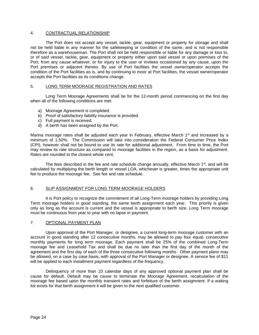#### 4. CONTRACTUAL RELATIONSHIP

The Port does not accept any vessel, tackle, gear, equipment or property for storage and shall not be held liable in any manner for the safekeeping or condition of the same, and is not responsible therefore as a warehouseman. The Port shall not be held responsible or liable for any damage or loss to, or of said vessel, tackle, gear, equipment or property either upon said vessel or upon premises of the Port, from any cause whatever, or for injury to the user or invitees occasioned by any cause, upon the Port premises or adjacent thereto. By use of Port facilities the vessel owner/operator accepts the condition of the Port facilities as is, and by continuing to moor at Port facilities, the vessel owner/operator accepts the Port facilities as its conditions change.

#### <span id="page-23-0"></span>5. LONG TERM MOORAGE REGISTRATION AND RATES

Long Term Moorage Agreements shall be for the 12-month period commencing on the first day when all of the following conditions are met:

- a) Moorage Agreement is completed.
- b) Proof of satisfactory liability insurance is provided.
- c) Full payment is received.
- d) A berth has been assigned by the Port.

Marina moorage rates shall be adjusted each year in February, effective March 1<sup>st</sup> and increased by a minimum of 1.50%. The Commission will take into consideration the Federal Consumer Price Index (CPI), however shall not be bound to use its rate for additional adjustment. From time to time, the Port may review its rate structure as compared to moorage facilities in the region, as a basis for adjustment. Rates are rounded to the closest whole cent.

The fees described in the fee and rate schedule change annually, effective March  $1<sup>st</sup>$ , and will be calculated by multiplying the berth length or vessel LOA, whichever is greater, times the appropriate unit fee to produce the moorage fee. See fee and rate schedule.

#### <span id="page-23-1"></span>6. SLIP ASSIGNMENT FOR LONG TERM MOORAGE HOLDERS

It is Port policy to recognize the commitment of all Long-Term moorage holders by providing Long Term moorage holders in good standing, the same berth assignment each year. This priority is given only as long as the account is current and the vessel is appropriate to berth size. Long Term moorage must be continuous from year to year with no lapse in payment.

#### <span id="page-23-2"></span>7. OPTIONAL PAYMENT PLAN

Upon approval of the Port Manager, or designee, a current long-term moorage customer with an account in good standing after 12 consecutive months, may be allowed to pay four equal, consecutive monthly payments for long term moorage. Each payment shall be 25% of the combined Long-Term moorage fee and Leasehold Tax and shall be due no later than the first day of the month of the agreement and the first day of each of the three consecutive following months. Other payment plans may be allowed, on a case by case basis, with approval of the Port Manager or designee. A service fee of \$11 will be applied to each installment payment regardless of the frequency.

Delinquency of more than 10 calendar days of any approved optional payment plan shall be cause for default. Default may be cause to terminate the Moorage Agreement, recalculation of the moorage fee based upon the monthly transient rates and forfeiture of the berth assignment. If a waiting list exists for that berth assignment it will be given to the next qualified customer.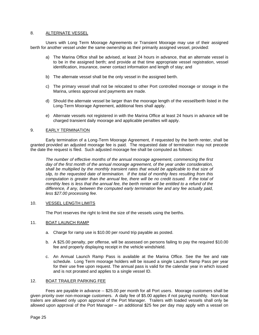#### <span id="page-24-0"></span>8. ALTERNATE VESSEL

Users with Long Term Moorage Agreements or Transient Moorage may use of their assigned berth for another vessel under the same ownership as their primarily assigned vessel, provided:

- a) The Marina Office shall be advised, at least 24 hours in advance, that an alternate vessel is to be in the assigned berth; and provide at that time appropriate vessel registration, vessel identification, insurance, owner contact information and length of stay; and
- b) The alternate vessel shall be the only vessel in the assigned berth.
- c) The primary vessel shall not be relocated to other Port controlled moorage or storage in the Marina, unless approval and payments are made.
- d) Should the alternate vessel be larger than the moorage length of the vessel/berth listed in the Long-Term Moorage Agreement, additional fees shall apply.
- e) Alternate vessels not registered in with the Marina Office at least 24 hours in advance will be charged transient daily moorage and applicable penalties will apply.

#### <span id="page-24-1"></span>9. EARLY TERMINATION

Early termination of a Long-Term Moorage Agreement, if requested by the berth renter, shall be granted provided an adjusted moorage fee is paid. The requested date of termination may not precede the date the request is filed. Such adjusted moorage fee shall be computed as follows:

*The number of effective months of the annual moorage agreement, commencing the first day of the first month of the annual moorage agreement, of the year under consideration,*  shall be multiplied by the monthly transient rates that would be applicable to that size of *slip, to the requested date of termination. If the total of monthly fees resulting from this computation is greater than the annual fee, there will be no credit issued. If the total of monthly fees is less that the annual fee, the berth renter will be entitled to a refund of the difference, if any, between the computed early termination fee and any fee actually paid, less \$27.00 processing fee.*

#### 10. VESSEL LENGTH LIMITS

The Port reserves the right to limit the size of the vessels using the berths.

#### <span id="page-24-2"></span>11. BOAT LAUNCH RAMP

- a. Charge for ramp use is \$10.00 per round trip payable as posted.
- b. A \$25.00 penalty, per offense, will be assessed on persons failing to pay the required \$10.00 fee and properly displaying receipt in the vehicle windshield.
- c. An Annual Launch Ramp Pass is available at the Marina Office. See the fee and rate schedule. Long Term moorage holders will be issued a single Launch Ramp Pass per year for their use free upon request. The annual pass is valid for the calendar year in which issued and is not prorated and applies to a single vessel ID.

#### <span id="page-24-3"></span>12. BOAT TRAILER PARKING FEE

Fees are payable in advance -- \$25.00 per month for all Port users. Moorage customers shall be given priority over non-moorage customers. A daily fee of \$5.00 applies if not paying monthly. Non-boat trailers are allowed only upon approval of the Port Manager. Trailers with loaded vessels shall only be allowed upon approval of the Port Manager – an additional \$25 fee per day may apply with a vessel on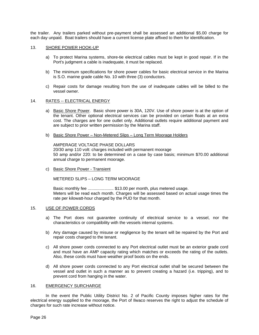the trailer. Any trailers parked without pre-payment shall be assessed an additional \$5.00 charge for each day unpaid. Boat trailers should have a current license plate affixed to them for identification.

#### <span id="page-25-0"></span>13. SHORE POWER HOOK-UP

- a) To protect Marina systems, shore-tie electrical cables must be kept in good repair. If in the Port's judgment a cable is inadequate, it must be replaced.
- b) The minimum specifications for shore power cables for basic electrical service in the Marina is S.O. marine grade cable No. 10 with three (3) conductors.
- c) Repair costs for damage resulting from the use of inadequate cables will be billed to the vessel owner.

#### <span id="page-25-1"></span>14. RATES -- ELECTRICAL ENERGY

- a) Basic Shore Power. Basic shore power is 30A, 120V. Use of shore power is at the option of the tenant. Other optional electrical services can be provided on certain floats at an extra cost. The charges are for one outlet only. Additional outlets require additional payment and are subject to prior written permission by the Marina staff.
- b) Basic Shore Power Non-Metered Slips Long Term Moorage Holders

AMPERAGE VOLTAGE PHASE DOLLARS 20/30 amp 110 volt: charges included with permanent moorage 50 amp and/or 220: to be determined on a case by case basis; minimum \$70.00 additional annual charge to permanent moorage.

c) Basic Shore Power - Transient

METERED SLIPS – LONG TERM MOORAGE

Basic monthly fee ....................... \$13.00 per month, plus metered usage. Meters will be read each month. Charges will be assessed based on actual usage times the rate per kilowatt-hour charged by the PUD for that month.

#### <span id="page-25-2"></span>15. USE OF POWER CORDS

- a) The Port does not guarantee continuity of electrical service to a vessel, nor the characteristics or compatibility with the vessels internal systems.
- b) Any damage caused by misuse or negligence by the tenant will be repaired by the Port and repair costs charged to the tenant.
- c) All shore power cords connected to any Port electrical outlet must be an exterior grade cord and must have an AMP capacity rating which matches or exceeds the rating of the outlets. Also, these cords must have weather proof boots on the ends.
- d) All shore power cords connected to any Port electrical outlet shall be secured between the vessel and outlet in such a manner as to prevent creating a hazard (i.e. tripping), and to prevent cord from hanging in the water.

#### <span id="page-25-3"></span>16. EMERGENCY SURCHARGE

In the event the Public Utility District No. 2 of Pacific County imposes higher rates for the electrical energy supplied to the moorage, the Port of Ilwaco reserves the right to adjust the schedule of charges for such rate increase without notice.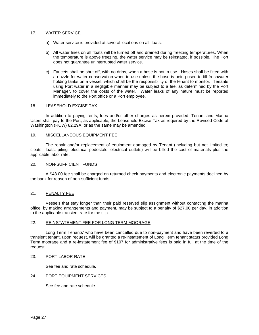#### <span id="page-26-0"></span>17. WATER SERVICE

- a) Water service is provided at several locations on all floats.
- b) All water lines on all floats will be turned off and drained during freezing temperatures. When the temperature is above freezing, the water service may be reinstated, if possible. The Port does not guarantee uninterrupted water service.
- c) Faucets shall be shut off, with no drips, when a hose is not in use. Hoses shall be fitted with a nozzle for water conservation when in use unless the hose is being used to fill freshwater holding tanks on a vessel, which shall be the responsibility of the tenant to monitor. Tenants using Port water in a negligible manner may be subject to a fee, as determined by the Port Manager, to cover the costs of the water. Water leaks of any nature must be reported immediately to the Port office or a Port employee.

#### <span id="page-26-1"></span>18. LEASEHOLD EXCISE TAX

In addition to paying rents, fees and/or other charges as herein provided, Tenant and Marina Users shall pay to the Port, as applicable, the Leasehold Excise Tax as required by the Revised Code of Washington (RCW) 82.29A, or as the same may be amended.

#### <span id="page-26-2"></span>19. MISCELLANEOUS EQUIPMENT FEE

The repair and/or replacement of equipment damaged by Tenant (including but not limited to; cleats, floats, piling, electrical pedestals, electrical outlets) will be billed the cost of materials plus the applicable labor rate.

#### <span id="page-26-3"></span>20. NON-SUFFICIENT FUNDS

A \$43.00 fee shall be charged on returned check payments and electronic payments declined by the bank for reason of non-sufficient funds.

#### <span id="page-26-4"></span>21. PENALTY FEE

Vessels that stay longer than their paid reserved slip assignment without contacting the marina office, by making arrangements and payment, may be subject to a penalty of \$27.00 per day, in addition to the applicable transient rate for the slip.

#### <span id="page-26-5"></span>22. REINSTATEMENT FEE FOR LONG TERM MOORAGE

Long Term Tenants' who have been cancelled due to non-payment and have been reverted to a transient tenant, upon request, will be granted a re-instatement of Long Term tenant status provided Long Term moorage and a re-instatement fee of \$107 for administrative fees is paid in full at the time of the request.

#### <span id="page-26-6"></span>23. PORT LABOR RATE

See fee and rate schedule.

#### <span id="page-26-7"></span>24. PORT EQUIPMENT SERVICES

See fee and rate schedule.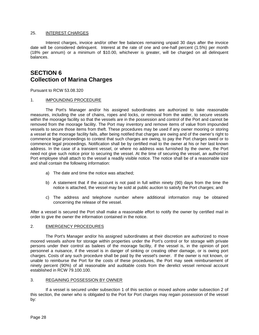#### <span id="page-27-0"></span>25. INTEREST CHARGES

Interest charges, invoice and/or other fee balances remaining unpaid 30 days after the invoice date will be considered delinquent. Interest at the rate of one and one-half percent (1.5%) per month (18% per annum) or a minimum of \$10.00, whichever is greater, will be charged on all delinquent balances.

### <span id="page-27-2"></span><span id="page-27-1"></span>**SECTION 6 Collection of Marina Charges**

Pursuant to RCW 53.08.320

#### <span id="page-27-3"></span>1. **IMPOUNDING PROCEDURE**

The Port's Manager and/or his assigned subordinates are authorized to take reasonable measures, including the use of chains, ropes and locks, or removal from the water, to secure vessels within the moorage facility so that the vessels are in the possession and control of the Port and cannot be removed from the moorage facility. The Port may inventory and remove items of value from impounded vessels to secure those items from theft. These procedures may be used if any owner mooring or storing a vessel at the moorage facility fails, after being notified that charges are owing and of the owner's right to commence legal proceedings to contest that such charges are owing, to pay the Port charges owed or to commence legal proceedings. Notification shall be by certified mail to the owner at his or her last known address. In the case of a transient vessel, or where no address was furnished by the owner, the Port need not give such notice prior to securing the vessel. At the time of securing the vessel, an authorized Port employee shall attach to the vessel a readily visible notice. The notice shall be of a reasonable size and shall contain the following information:

- a) The date and time the notice was attached;
- b) A statement that if the account is not paid in full within ninety (90) days from the time the notice is attached, the vessel may be sold at public auction to satisfy the Port charges; and
- c) The address and telephone number where additional information may be obtained concerning the release of the vessel.

After a vessel is secured the Port shall make a reasonable effort to notify the owner by certified mail in order to give the owner the information contained in the notice.

#### <span id="page-27-4"></span>2. EMERGENCY PROCEDURES

The Port's Manager and/or his assigned subordinates at their discretion are authorized to move moored vessels ashore for storage within properties under the Port's control or for storage with private persons under their control as bailees of the moorage facility, if the vessel is, in the opinion of port personnel a nuisance, if the vessel is in danger of sinking or creating other damage, or is owing port charges. Costs of any such procedure shall be paid by the vessel's owner. If the owner is not known, or unable to reimburse the Port for the costs of these procedures, the Port may seek reimbursement of ninety percent (90%) of all reasonable and auditable costs from the derelict vessel removal account established in RCW 79.100.100.

#### <span id="page-27-5"></span>3. REGAINING POSSESSION BY OWNER

If a vessel is secured under subsection 1 of this section or moved ashore under subsection 2 of this section, the owner who is obligated to the Port for Port charges may regain possession of the vessel by: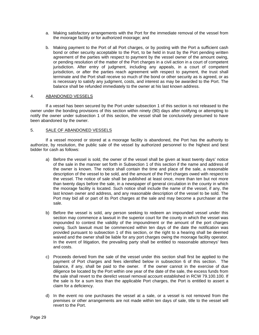- a. Making satisfactory arrangements with the Port for the immediate removal of the vessel from the moorage facility or for authorized moorage; and
- b. Making payment to the Port of all Port charges, or by posting with the Port a sufficient cash bond or other security acceptable to the Port, to be held in trust by the Port pending written agreement of the parties with respect to payment by the vessel owner of the amount owing, or pending resolution of the matter of the Port charges in a civil action in a court of competent jurisdiction. After entry of judgment, including any appeals, in a court of competent jurisdiction, or after the parties reach agreement with respect to payment, the trust shall terminate and the Port shall receive so much of the bond or other security as is agreed, or as is necessary to satisfy any judgment, costs, and interest as may be awarded to the Port. The balance shall be refunded immediately to the owner at his last known address.

#### <span id="page-28-0"></span>4. ABANDONED VESSELS

If a vessel has been secured by the Port under subsection 1 of this section is not released to the owner under the bonding provisions of this section within ninety (90) days after notifying or attempting to notify the owner under subsection 1 of this section, the vessel shall be conclusively presumed to have been abandoned by the owner.

#### 5. SALE OF ABANDONED VESSELS

If a vessel moored or stored at a moorage facility is abandoned, the Port has the authority to authorize, by resolution, the public sale of the vessel by authorized personnel to the highest and best bidder for cash as follows:

- a) Before the vessel is sold, the owner of the vessel shall be given at least twenty days' notice of the sale in the manner set forth in Subsection 1 of this section if the name and address of the owner is known. The notice shall contain the time and place of the sale, a reasonable description of the vessel to be sold, and the amount of the Port charges owed with respect to the vessel. The notice of sale shall be published at least once, more than ten but not more than twenty days before the sale, in a newspaper of general circulation in the county in which the moorage facility is located. Such notice shall include the name of the vessel, if any, the last known owner and address, and any reasonable description of the vessel to be sold. The Port may bid all or part of its Port charges at the sale and may become a purchaser at the sale.
- b) Before the vessel is sold, any person seeking to redeem an impounded vessel under this section may commence a lawsuit in the superior court for the county in which the vessel was impounded to contest the validity of the impoundment or the amount of the port charges owing. Such lawsuit must be commenced within ten days of the date the notification was provided pursuant to subsection 1 of this section, or the right to a hearing shall be deemed waived and the owner shall be liable for any port charges owing the moorage facility operator. In the event of litigation, the prevailing party shall be entitled to reasonable attorneys' fees and costs.
- c) Proceeds derived from the sale of the vessel under this section shall first be applied to the payment of Port charges and fees identified below in subsection 6 of this section. The balance, if any, shall be paid to the owner. If the owner cannot in the exercise of due diligence be located by the Port within one year of the date of the sale, the excess funds from the sale shall revert to the derelict vessel removal account established in RCW 79.100.100. If the sale is for a sum less than the applicable Port charges, the Port is entitled to assert a claim for a deficiency.
- d) In the event no one purchases the vessel at a sale, or a vessel is not removed from the premises or other arrangements are not made within ten days of sale, title to the vessel will revert to the Port.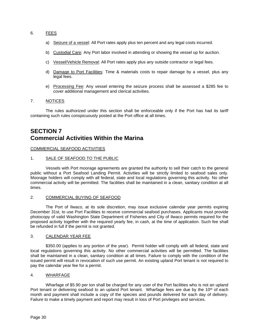#### <span id="page-29-0"></span>6. FEES

- a) Seizure of a vessel: All Port rates apply plus ten percent and any legal costs incurred.
- b) Custodial Care: Any Port labor involved in attending or showing the vessel up for auction.
- c) Vessel/Vehicle Removal: All Port rates apply plus any outside contractor or legal fees.
- d) Damage to Port Facilities: Time & materials costs to repair damage by a vessel, plus any legal fees.
- e) Processing Fee: Any vessel entering the seizure process shall be assessed a \$285 fee to cover additional management and clerical activities.

#### 7. NOTICES

The rules authorized under this section shall be enforceable only if the Port has had its tariff containing such rules conspicuously posted at the Port office at all times.

### <span id="page-29-2"></span><span id="page-29-1"></span>**SECTION 7 Commercial Activities Within the Marina**

#### <span id="page-29-3"></span>COMMERCIAL SEAFOOD ACTIVITIES

#### <span id="page-29-4"></span>1. SALE OF SEAFOOD TO THE PUBLIC

Vessels with Port moorage agreements are granted the authority to sell their catch to the general public without a Port Seafood Landing Permit. Activities will be strictly limited to seafood sales only. Moorage holders will comply with all federal, state and local regulations governing this activity. No other commercial activity will be permitted. The facilities shall be maintained in a clean, sanitary condition at all times.

#### <span id="page-29-5"></span>2. COMMERCIAL BUYING OF SEAFOOD

The Port of Ilwaco, at its sole discretion, may issue exclusive calendar year permits expiring December 31st, to use Port Facilities to receive commercial seafood purchases. Applicants must provide photocopy of valid Washington State Department of Fisheries and City of Ilwaco permits required for the proposed activity together with the required yearly fee, in cash, at the time of application. Such fee shall be refunded in full if the permit is not granted.

#### <span id="page-29-6"></span>3. CALENDAR YEAR FEE

\$350.00 (applies to any portion of the year). Permit holder will comply with all federal, state and local regulations governing this activity. No other commercial activities will be permitted. The facilities shall be maintained in a clean, sanitary condition at all times. Failure to comply with the condition of the issued permit will result in revocation of such use permit. An existing upland Port tenant is not required to pay the calendar year fee for a permit.

#### <span id="page-29-7"></span>4. WHARFAGE

<span id="page-29-8"></span>Wharfage of \$5.90 per ton shall be charged for any user of the Port facilities who is not an upland Port tenant or delivering seafood to an upland Port tenant. Wharfage fees are due by the 10<sup>th</sup> of each month and payment shall include a copy of the species and pounds delivered for each day of delivery. Failure to make a timely payment and report may result in loss of Port privileges and services.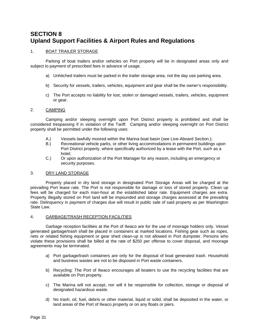## <span id="page-30-0"></span>**SECTION 8 Upland Support Facilities & Airport Rules and Regulations**

#### <span id="page-30-1"></span>1. BOAT TRAILER STORAGE

Parking of boat trailers and/or vehicles on Port property will be in designated areas only and subject to payment of prescribed fees in advance of usage.

- a) Unhitched trailers must be parked in the trailer storage area, not the day use parking area.
- b) Security for vessels, trailers, vehicles, equipment and gear shall be the owner's responsibility.
- c) The Port accepts no liability for lost, stolen or damaged vessels, trailers, vehicles, equipment or gear.

#### <span id="page-30-2"></span>2. CAMPING

Camping and/or sleeping overnight upon Port District property is prohibited and shall be considered trespassing if in violation of the Tariff. Camping and/or sleeping overnight on Port District property shall be permitted under the following uses:

- A.) Vessels lawfully moored within the Marina boat basin (see Live-Aboard Section.);
- B.) Recreational vehicle parks, or other living accommodations in permanent buildings upon Port District property, where specifically authorized by a lease with the Port, such as a hotel;
- C.) Or upon authorization of the Port Manager for any reason, including an emergency or security purposes.

#### <span id="page-30-3"></span>3. DRY LAND STORAGE

Property placed in dry land storage in designated Port Storage Areas will be charged at the prevailing Port lease rate. The Port is not responsible for damage or loss of stored property. Clean up fees will be charged for each man-hour at the established labor rate. Equipment charges are extra. Property illegally stored on Port land will be impounded and storage charges assessed at the prevailing rate. Delinquency in payment of charges due will result in public sale of said property as per Washington State Law.

#### <span id="page-30-4"></span>4. GARBAGE/TRASH RECEPTION FACILITIES

Garbage reception facilities at the Port of Ilwaco are for the use of moorage holders only. Vessel generated garbage/trash shall be placed in containers at marked locations. Fishing gear such as ropes, nets or related fishing equipment or gear shed clean-up is not allowed in Port dumpster. Persons who violate these provisions shall be billed at the rate of \$250 per offense to cover disposal, and moorage agreements may be terminated.

- a) Port garbage/trash containers are only for the disposal of boat generated trash. Household and business wastes are not to be disposed in Port waste containers.
- b) Recycling: The Port of Ilwaco encourages all boaters to use the recycling facilities that are available on Port property.
- c) The Marina will not accept, nor will it be responsible for collection, storage or disposal of designated hazardous waste.
- d) No trash, oil, fuel, debris or other material, liquid or solid, shall be deposited in the water, or land areas of the Port of Ilwaco property or on any floats or piers.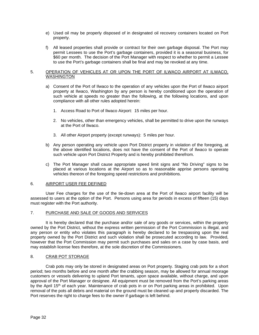- e) Used oil may be properly disposed of in designated oil recovery containers located on Port property.
- f) All leased properties shall provide or contract for their own garbage disposal. The Port may permit Lessees to use the Port's garbage containers, provided it is a seasonal business, for \$60 per month. The decision of the Port Manager with respect to whether to permit a Lessee to use the Port's garbage containers shall be final and may be revoked at any time.

#### <span id="page-31-0"></span>5. OPERATION OF VEHICLES AT OR UPON THE PORT OF ILWACO AIRPORT AT ILWACO, **WASHINGTON**

- a) Consent of the Port of Ilwaco to the operation of any vehicles upon the Port of Ilwaco airport property at Ilwaco, Washington by any person is hereby conditioned upon the operation of such vehicle at speeds no greater than the following, at the following locations, and upon compliance with all other rules adopted herein:
	- 1. Access Road to Port of Ilwaco Airport: 15 miles per hour.
	- 2. No vehicles, other than emergency vehicles, shall be permitted to drive upon the runways at the Port of Ilwaco.
	- 3. All other Airport property (except runways): 5 miles per hour.
- b) Any person operating any vehicle upon Port District property in violation of the foregoing, at the above identified locations, does not have the consent of the Port of Ilwaco to operate such vehicle upon Port District Property and is hereby prohibited therefrom.
- c) The Port Manager shall cause appropriate speed limit signs and "No Driving" signs to be placed at various locations at the Airport so as to reasonable apprise persons operating vehicles thereon of the foregoing speed restrictions and prohibitions.

#### <span id="page-31-1"></span>6. AIRPORT USER FEE DEFINED

User Fee charges for the use of the tie-down area at the Port of Ilwaco airport facility will be assessed to users at the option of the Port. Persons using area for periods in excess of fifteen (15) days must register with the Port authority.

#### <span id="page-31-2"></span>7. PURCHASE AND SALE OF GOODS AND SERVICES

It is hereby declared that the purchase and/or sale of any goods or services, within the property owned by the Port District, without the express written permission of the Port Commission is illegal, and any person or entity who violates this paragraph is hereby declared to be trespassing upon the real property owned by the Port District and such violation shall be prosecuted according to law. Provided, however that the Port Commission may permit such purchases and sales on a case by case basis, and may establish license fees therefore, at the sole discretion of the Commissioners.

#### <span id="page-31-3"></span>8. CRAB POT STORAGE

Crab pots may only be stored in designated areas on Port property. Staging crab pots for a short period; two months before and one month after the crabbing season, may be allowed for annual moorage customers or vessels delivering to upland Port tenants, upon space available, without charge, and upon approval of the Port Manager or designee. All equipment must be removed from the Port's parking areas by the April 15<sup>th</sup> of each year. Maintenance of crab pots in or on Port parking areas in prohibited. Upon removal of the pots all debris and material on the ground must be cleaned up and properly discarded. The Port reserves the right to charge fees to the owner if garbage is left behind.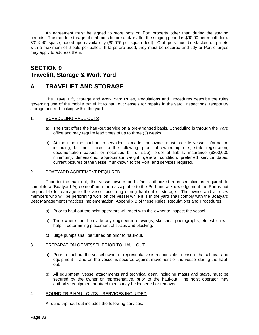An agreement must be signed to store pots on Port property other than during the staging periods. The rate for storage of crab pots before and/or after the staging period is \$90.00 per month for a 30' X 40' space, based upon availability (\$0.075 per square foot). Crab pots must be stacked on pallets with a maximum of 6 pots per pallet. If tarps are used, they must be secured and tidy or Port charges may apply to address them.

### <span id="page-32-1"></span><span id="page-32-0"></span>**SECTION 9 Travelift, Storage & Work Yard**

### <span id="page-32-2"></span>**A. TRAVELIFT AND STORAGE**

The Travel Lift, Storage and Work Yard Rules, Regulations and Procedures describe the rules governing use of the mobile travel lift to haul out vessels for repairs in the yard, inspections, temporary storage and re-blocking within the yard.

#### <span id="page-32-3"></span>1. SCHEDULING HAUL-OUTS

- a) The Port offers the haul-out service on a pre-arranged basis. Scheduling is through the Yard office and may require lead times of up to three (3) weeks.
- b) At the time the haul-out reservation is made, the owner must provide vessel information including, but not limited to the following: proof of ownership (i.e., state registration, documentation papers, or notarized bill of sale); proof of liability insurance (\$300,000 minimum); dimensions; approximate weight; general condition; preferred service dates; current pictures of the vessel if unknown to the Port; and services required.

#### <span id="page-32-4"></span>2. BOATYARD AGREEMENT REQUIRED

Prior to the haul-out, the vessel owner or his/her authorized representative is required to complete a "Boatyard Agreement" in a form acceptable to the Port and acknowledgement the Port is not responsible for damage to the vessel occurring during haul-out or storage. The owner and all crew members who will be performing work on the vessel while it is in the yard shall comply with the Boatyard Best Management Practices Implementation, Appendix B of these Rules, Regulations and Procedures.

- a) Prior to haul-out the hoist operators will meet with the owner to inspect the vessel.
- b) The owner should provide any engineered drawings, sketches, photographs, etc. which will help in determining placement of straps and blocking.
- c) Bilge pumps shall be turned off prior to haul-out.

#### <span id="page-32-5"></span>3. PREPARATION OF VESSEL PRIOR TO HAUL-OUT

- a) Prior to haul-out the vessel owner or representative is responsible to ensure that all gear and equipment in and on the vessel is secured against movement of the vessel during the haulout.
- b) All equipment, vessel attachments and technical gear, including masts and stays, must be secured by the owner or representative, prior to the haul-out. The hoist operator may authorize equipment or attachments may be loosened or removed.

#### <span id="page-32-6"></span>4. ROUND-TRIP HAUL-OUTS – SERVICES INCLUDED

A round trip haul-out includes the following services: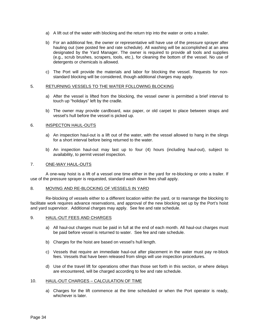- a) A lift out of the water with blocking and the return trip into the water or onto a trailer.
- b) For an additional fee, the owner or representative will have use of the pressure sprayer after hauling out (see posted fee and rate schedule). All washing will be accomplished at an area designated by the Yard Manager. The owner is required to provide all tools and supplies (e.g., scrub brushes, scrapers, tools, etc.), for cleaning the bottom of the vessel. No use of detergents or chemicals is allowed.
- c) The Port will provide the materials and labor for blocking the vessel. Requests for nonstandard blocking will be considered, though additional charges may apply.

#### <span id="page-33-0"></span>5. RETURNING VESSELS TO THE WATER FOLLOWING BLOCKING

- a) After the vessel is lifted from the blocking, the vessel owner is permitted a brief interval to touch up "holidays" left by the cradle.
- b) The owner may provide cardboard, wax paper, or old carpet to place between straps and vessel's hull before the vessel is picked up.

#### <span id="page-33-1"></span>6. INSPECTON HAUL-OUTS

- a) An inspection haul-out is a lift out of the water, with the vessel allowed to hang in the slings for a short interval before being returned to the water.
- b) An inspection haul-out may last up to four (4) hours (including haul-out), subject to availability, to permit vessel inspection.

#### <span id="page-33-2"></span>7. ONE-WAY HAUL-OUTS

A one-way hoist is a lift of a vessel one time either in the yard for re-blocking or onto a trailer. If use of the pressure sprayer is requested, standard wash down fees shall apply.

#### <span id="page-33-3"></span>8. MOVING AND RE-BLOCKING OF VESSELS IN YARD

Re-blocking of vessels either to a different location within the yard, or to rearrange the blocking to facilitate work requires advance reservations, and approval of the new blocking set up by the Port's hoist and yard supervisor. Additional charges may apply. See fee and rate schedule.

#### <span id="page-33-4"></span>9. HAUL-OUT FEES AND CHARGES

- a) All haul-out charges must be paid in full at the end of each month. All haul-out charges must be paid before vessel is returned to water. See fee and rate schedule.
- b) Charges for the hoist are based on vessel's hull length.
- c) Vessels that require an immediate haul-out after placement in the water must pay re-block fees. Vessels that have been released from slings will use inspection procedures.
- d) Use of the travel lift for operations other than those set forth in this section, or where delays are encountered, will be charged according to fee and rate schedule.

#### <span id="page-33-5"></span>10. HAUL-OUT CHARGES – CALCULATION OF TIME

a) Charges for the lift commence at the time scheduled or when the Port operator is ready, whichever is later.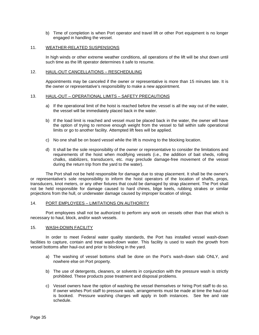b) Time of completion is when Port operator and travel lift or other Port equipment is no longer engaged in handling the vessel.

#### <span id="page-34-0"></span>11. WEATHER-RELATED SUSPENSIONS

In high winds or other extreme weather conditions, all operations of the lift will be shut down until such time as the lift operator determines it safe to resume.

#### <span id="page-34-1"></span>12. HAUL-OUT CANCELLATIONS – RESCHEDULING

Appointments may be canceled if the owner or representative is more than 15 minutes late. It is the owner or representative's responsibility to make a new appointment.

#### <span id="page-34-2"></span>13. HAUL-OUT – OPERATIONAL LIMITS – SAFETY PRECAUTIONS

- a) If the operational limit of the hoist is reached before the vessel is all the way out of the water, the vessel will be immediately placed back in the water.
- b) If the load limit is reached and vessel must be placed back in the water, the owner will have the option of trying to remove enough weight from the vessel to fall within safe operational limits or go to another facility. Attempted lift fees will be applied.
- c) No one shall be on board vessel while the lift is moving to the blocking location.
- d) It shall be the sole responsibility of the owner or representative to consider the limitations and requirements of the hoist when modifying vessels (i.e., the addition of bait sheds, rolling chalks, stabilizers, transducers, etc. may preclude damage-free movement of the vessel during the return trip from the yard to the water).

The Port shall not be held responsible for damage due to strap placement. It shall be the owner's or representative's sole responsibility to inform the hoist operators of the location of shafts, props, transducers, knot meters, or any other fixtures that could be damaged by strap placement. The Port shall not be held responsible for damage caused to hard chines, bilge keels, rubbing strakes or similar projections from the hull, or underwater damage caused by improper location of slings.

#### <span id="page-34-3"></span>14. PORT EMPLOYEES - LIMITATIONS ON AUTHORITY

Port employees shall not be authorized to perform any work on vessels other than that which is necessary to haul, block, and/or wash vessels.

#### <span id="page-34-4"></span>15. WASH-DOWN FACILITY

In order to meet Federal water quality standards, the Port has installed vessel wash-down facilities to capture, contain and treat wash-down water. This facility is used to wash the growth from vessel bottoms after haul-out and prior to blocking in the yard.

- a) The washing of vessel bottoms shall be done on the Port's wash-down slab ONLY, and nowhere else on Port property.
- b) The use of detergents, cleaners, or solvents in conjunction with the pressure wash is strictly prohibited. These products pose treatment and disposal problems.
- c) Vessel owners have the option of washing the vessel themselves or hiring Port staff to do so. If owner wishes Port staff to pressure wash, arrangements must be made at time the haul-out is booked. Pressure washing charges will apply in both instances. See fee and rate schedule.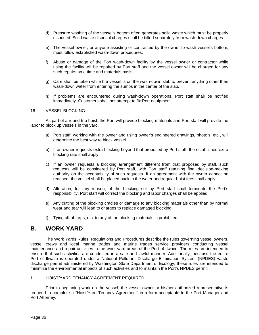- d) Pressure washing of the vessel's bottom often generates solid waste which must be properly disposed. Solid waste disposal charges shall be billed separately from wash-down charges.
- e) The vessel owner, or anyone assisting or contracted by the owner to wash vessel's bottom, must follow established wash-down procedures.
- f) Abuse or damage of the Port wash-down facility by the vessel owner or contractor while using the facility will be repaired by Port staff and the vessel owner will be charged for any such repairs on a time and materials basis.
- g) Care shall be taken while the vessel is on the wash-down slab to prevent anything other than wash-down water from entering the sumps in the center of the slab.
- h) If problems are encountered during wash-down operations, Port staff shall be notified immediately. Customers shall not attempt to fix Port equipment.

#### <span id="page-35-0"></span>16. VESSEL BLOCKING

As part of a round-trip hoist, the Port will provide blocking materials and Port staff will provide the labor to block up vessels in the yard.

- a) Port staff, working with the owner and using owner's engineered drawings, photo's, etc., will determine the best way to block vessel.
- b) If an owner requests extra blocking beyond that proposed by Port staff, the established extra blocking rate shall apply.
- c) If an owner requests a blocking arrangement different from that proposed by staff, such requests will be considered by Port staff, with Port staff retaining final decision-making authority on the acceptability of such requests. If an agreement with the owner cannot be reached, the vessel shall be placed back in the water and regular hoist fees shall apply.
- d) Alteration, for any reason, of the blocking set by Port staff shall terminate the Port's responsibility. Port staff will correct the blocking and labor charges shall be applied.
- e) Any cutting of the blocking cradles or damage to any blocking materials other than by normal wear and tear will lead to charges to replace damaged blocking.
- f) Tying off of tarps, etc. to any of the blocking materials is prohibited.

### <span id="page-35-1"></span>**B. WORK YARD**

The Work Yards Rules, Regulations and Procedures describe the rules governing vessel owners, vessel crews and local marine trades and marine trades service providers conducting vessel maintenance and repair activities in the work yard areas of the Port of Ilwaco. The rules are intended to ensure that such activities are conducted in a safe and lawful manner. Additionally, because the entire Port of Ilwaco is operated under a National Pollutant Discharge Elimination System (NPDES) waste discharge permit administered by Washington State Department of Ecology, these rules are intended to minimize the environmental impacts of such activities and to maintain the Port's NPDES permit.

#### <span id="page-35-2"></span>1. HOIST/YARD TENANCY AGREEMENT REQUIRED

Prior to beginning work on the vessel, the vessel owner or his/her authorized representative is required to complete a "Hoist/Yard Tenancy Agreement" in a form acceptable to the Port Manager and Port Attorney.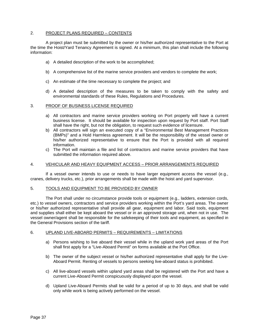#### <span id="page-36-0"></span>2. PROJECT PLANS REQUIRED – CONTENTS

A project plan must be submitted by the owner or his/her authorized representative to the Port at the time the Hoist/Yard Tenancy Agreement is signed. At a minimum, this plan shall include the following information:

- a) A detailed description of the work to be accomplished;
- b) A comprehensive list of the marine service providers and vendors to complete the work;
- c) An estimate of the time necessary to complete the project; and
- d) A detailed description of the measures to be taken to comply with the safety and environmental standards of these Rules, Regulations and Procedures.

#### <span id="page-36-1"></span>3. PROOF OF BUSINESS LICENSE REQUIRED

- a) All contractors and marine service providers working on Port property will have a current business license. It should be available for inspection upon request by Port staff. Port Staff shall have the right, but not the obligation, to request such evidence of licensure.
- b) All contractors will sign an executed copy of a "Environmental Best Management Practices (BMPs)" and a Hold Harmless agreement. It will be the responsibility of the vessel owner or his/her authorized representative to ensure that the Port is provided with all required information.
- c) The Port will maintain a file and list of contractors and marine service providers that have submitted the information required above.

#### <span id="page-36-2"></span>4. VEHICULAR AND HEAVY EQUIPMENT ACCESS – PRIOR ARRANGEMENTS REQUIRED

If a vessel owner intends to use or needs to have larger equipment access the vessel (e.g., cranes, delivery trucks, etc.), prior arrangements shall be made with the hoist and yard supervisor.

#### <span id="page-36-3"></span>5. TOOLS AND EQUIPMENT TO BE PROVIDED BY OWNER

The Port shall under no circumstance provide tools or equipment (e.g., ladders, extension cords, etc.) to vessel owners, contractors and service providers working within the Port's yard areas. The owner or his/her authorized representative shall provide all gear, equipment and labor. Said tools, equipment and supplies shall either be kept aboard the vessel or in an approved storage unit, when not in use. The vessel owner/agent shall be responsible for the safekeeping of their tools and equipment, as specified in the General Provisions section of the tariff.

#### <span id="page-36-4"></span>6. UPLAND LIVE-ABOARD PERMITS – REQUIREMENTS – LIMITATIONS

- a) Persons wishing to live aboard their vessel while in the upland work yard areas of the Port shall first apply for a "Live-Aboard Permit" on forms available at the Port Office.
- b) The owner of the subject vessel or his/her authorized representative shall apply for the Live-Aboard Permit. Renting of vessels to persons seeking live-aboard status is prohibited.
- c) All live-aboard vessels within upland yard areas shall be registered with the Port and have a current Live-Aboard Permit conspicuously displayed upon the vessel.
- d) Upland Live-Aboard Permits shall be valid for a period of up to 30 days, and shall be valid only while work is being actively performed on the vessel.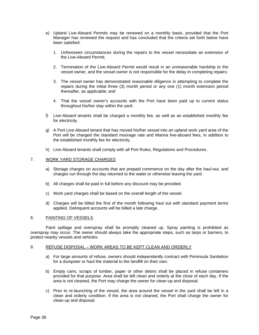- e) Upland Live-Aboard Permits may be renewed on a monthly basis, provided that the Port Manager has reviewed the request and has concluded that the criteria set forth below have been satisfied:
	- 1. Unforeseen circumstances during the repairs to the vessel necessitate an extension of the Live-Aboard Permit;
	- 2. Termination of the Live-Aboard Permit would result in an unreasonable hardship to the vessel owner, and the vessel owner is not responsible for the delay in completing repairs;
	- 3. The vessel owner has demonstrated reasonable diligence in attempting to complete the repairs during the initial three (3) month period or any one (1) month extension period thereafter, as applicable; and
	- 4. That the vessel owner's accounts with the Port have been paid up to current status throughout his/her stay within the yard.
- f) Live-Aboard tenants shall be charged a monthly fee, as well as an established monthly fee for electricity.
- g) A Port Live-Aboard tenant that has moved his/her vessel into an upland work yard area of the Port will be charged the standard moorage rate and Marina live-aboard fees, in addition to the established monthly fee for electricity.
- h) Live-Aboard tenants shall comply with all Port Rules, Regulations and Procedures.

#### <span id="page-37-0"></span>7. WORK YARD STORAGE CHARGES

- a) Storage charges on accounts that are prepaid commence on the day after the haul-out, and charges run through the day returned to the water or otherwise leaving the yard.
- b) All charges shall be paid in full before any discount may be provided.
- c) Work yard charges shall be based on the overall length of the vessel.
- d) Charges will be billed the first of the month following haul out with standard payment terms applied. Delinquent accounts will be billed a late charge.

#### <span id="page-37-1"></span>8. PAINTING OF VESSELS

Paint spillage and overspray shall be promptly cleaned up. Spray painting is prohibited as overspray may occur. The owner should always take the appropriate steps, such as tarps or barriers, to protect nearby vessels and vehicles.

#### <span id="page-37-2"></span>9. REFUSE DISPOSAL – WORK AREAS TO BE KEPT CLEAN AND ORDERLY

- a) For large amounts of refuse, owners should independently contract with Peninsula Sanitation for a dumpster or haul the material to the landfill on their own.
- b) Empty cans, scraps of lumber, paper or other debris shall be placed in refuse containers provided for that purpose. Area shall be left clean and orderly at the close of each day. If the area is not cleaned, the Port may charge the owner for clean-up and disposal.
- c) Prior to re-launching of the vessel, the area around the vessel in the yard shall be left in a clean and orderly condition. If the area is not cleaned, the Port shall charge the owner for clean-up and disposal.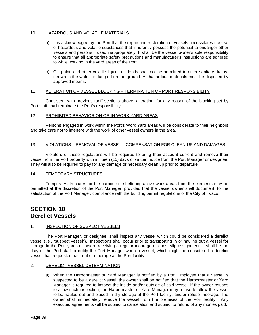#### <span id="page-38-0"></span>10. HAZARDOUS AND VOLATILE MATERIALS

- a) It is acknowledged by the Port that the repair and restoration of vessels necessitates the use of hazardous and volatile substances that inherently possess the potential to endanger other vessels and persons if used inappropriately. It shall be the vessel owner's sole responsibility to ensure that all appropriate safety precautions and manufacturer's instructions are adhered to while working in the yard areas of the Port.
- b) Oil, paint, and other volatile liquids or debris shall not be permitted to enter sanitary drains, thrown in the water or dumped on the ground. All hazardous materials must be disposed by approved means.

#### <span id="page-38-1"></span>11. ALTERATION OF VESSEL BLOCKING – TERMINATION OF PORT RESPONSIBILITY

Consistent with previous tariff sections above, alteration, for any reason of the blocking set by Port staff shall terminate the Port's responsibility.

#### <span id="page-38-2"></span>12. PROHIBITED BEHAVIOR ON OR IN WORK YARD AREAS

Persons engaged in work within the Port's Work Yard areas will be considerate to their neighbors and take care not to interfere with the work of other vessel owners in the area.

#### <span id="page-38-3"></span>13. VIOLATIONS – REMOVAL OF VESSEL – COMPENSATION FOR CLEAN-UP AND DAMAGES

Violators of these regulations will be required to bring their account current and remove their vessel from the Port property within fifteen (15) days of written notice from the Port Manager or designee. They will also be required to pay for any damage or necessary clean up prior to departure.

#### <span id="page-38-4"></span>14. TEMPORARY STRUCTURES

Temporary structures for the purpose of sheltering active work areas from the elements may be permitted at the discretion of the Port Manager, provided that the vessel owner shall document, to the satisfaction of the Port Manager, compliance with the building permit regulations of the City of Ilwaco.

### <span id="page-38-6"></span><span id="page-38-5"></span>**SECTION 10 Derelict Vessels**

#### <span id="page-38-7"></span>1. INSPECTION OF SUSPECT VESSELS

The Port Manager, or designee, shall inspect any vessel which could be considered a derelict vessel (i.e., "suspect vessel"). Inspections shall occur prior to transporting in or hauling out a vessel for storage in the Port yards or before receiving a regular moorage or guest slip assignment. It shall be the duty of the Port staff to notify the Port Manager when a vessel, which might be considered a derelict vessel, has requested haul-out or moorage at the Port facility.

#### <span id="page-38-8"></span>2. DERELICT VESSEL DETERMINATION

a) When the Harbormaster or Yard Manager is notified by a Port Employee that a vessel is suspected to be a derelict vessel, the owner shall be notified that the Harbormaster or Yard Manager is required to inspect the inside and/or outside of said vessel. If the owner refuses to allow such inspection, the Harbormaster or Yard Manager may refuse to allow the vessel to be hauled out and placed in dry storage at the Port facility, and/or refuse moorage. The owner shall immediately remove the vessel from the premises of the Port facility. Any executed agreements will be subject to cancelation and subject to refund of any monies paid.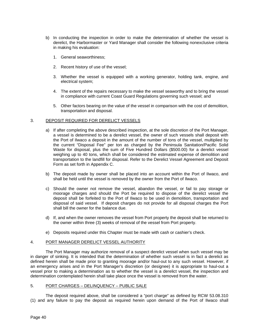- b) In conducting the inspection in order to make the determination of whether the vessel is derelict, the Harbormaster or Yard Manager shall consider the following nonexclusive criteria in making his evaluation:
	- 1. General seaworthiness;
	- 2. Recent history of use of the vessel;
	- 3. Whether the vessel is equipped with a working generator, holding tank, engine, and electrical system;
	- 4. The extent of the repairs necessary to make the vessel seaworthy and to bring the vessel in compliance with current Coast Guard Regulations governing such vessel; and
	- 5. Other factors bearing on the value of the vessel in comparison with the cost of demolition, transportation and disposal.

#### <span id="page-39-0"></span>3. DEPOSIT REQUIRED FOR DERELICT VESSELS

- a) If after completing the above described inspection, at the sole discretion of the Port Manager, a vessel is determined to be a derelict vessel, the owner of such vessels shall deposit with the Port of Ilwaco a deposit in the amount of the number of tons of the vessel, multiplied by the current "Disposal Fee" per ton as charged by the Peninsula Sanitation/Pacific Solid Waste for disposal, plus the sum of Five Hundred Dollars (\$500.00) for a derelict vessel weighing up to 40 tons, which shall be considered the estimated expense of demolition and transportation to the landfill for disposal. Refer to the Derelict Vessel Agreement and Deposit Form as set forth in Appendix C.
- b) The deposit made by owner shall be placed into an account within the Port of Ilwaco, and shall be held until the vessel is removed by the owner from the Port of Ilwaco.
- c) Should the owner not remove the vessel, abandon the vessel, or fail to pay storage or moorage charges and should the Port be required to dispose of the derelict vessel the deposit shall be forfeited to the Port of Ilwaco to be used in demolition, transportation and disposal of said vessel. If deposit charges do not provide for all disposal charges the Port shall bill the owner for the balance due.
- d) If, and when the owner removes the vessel from Port property the deposit shall be returned to the owner within three (3) weeks of removal of the vessel from Port property.
- e) Deposits required under this Chapter must be made with cash or cashier's check.

#### <span id="page-39-1"></span>4. PORT MANAGER DERELICT VESSEL AUTHORITY

The Port Manager may authorize removal of a suspect derelict vessel when such vessel may be in danger of sinking. It is intended that the determination of whether such vessel is in fact a derelict as defined herein shall be made prior to granting moorage and/or haul-out to any such vessel. However, if an emergency arises and in the Port Manager's discretion (or designee) it is appropriate to haul-out a vessel prior to making a determination as to whether the vessel is a derelict vessel, the inspection and determination contemplated herein shall take place once the vessel is removed from the water.

#### <span id="page-39-2"></span>5. PORT CHARGES – DELINQUENCY – PUBLIC SALE

The deposit required above, shall be considered a "port charge" as defined by RCW 53.08.310 (1) and any failure to pay the deposit as required herein upon demand of the Port of Ilwaco shall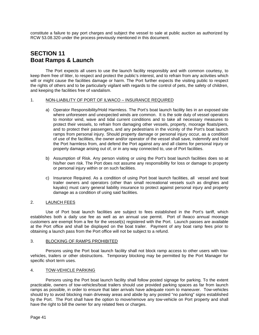constitute a failure to pay port charges and subject the vessel to sale at public auction as authorized by RCW 53.08.320 under the process previously mentioned in this document.

### <span id="page-40-1"></span><span id="page-40-0"></span>**SECTION 11 Boat Ramps & Launch**

The Port expects all users to use the launch facility responsibly and with common courtesy, to keep them free of litter, to respect and protect the public's interest, and to refrain from any activities which will or might cause the facilities damage or harm. The Port further expects the visiting public to respect the rights of others and to be particularly vigilant with regards to the control of pets, the safety of children, and keeping the facilities free of vandalism.

#### <span id="page-40-2"></span>1. NON-LIABILITY OF PORT OF ILWACO - INSURANCE REQUIRED

- a) Operator Responsibility/Hold Harmless. The Port's boat launch facility lies in an exposed site where unforeseen and unexpected winds are common. It is the sole duty of vessel operators to monitor wind, wave and tidal current conditions and to take all necessary measures to protect their vessels, to refrain from damaging other vessels, property, moorage floats/piers, and to protect their passengers, and any pedestrians in the vicinity of the Port's boat launch ramps from personal injury. Should property damage or personal injury occur, as a condition of use of the facilities, the owner and/or operator of the vessel shall save, indemnify and hold the Port harmless from, and defend the Port against any and all claims for personal injury or property damage arising out of, or in any way connected to, use of Port facilities.
- b) Assumption of Risk. Any person visiting or using the Port's boat launch facilities does so at his/her own risk. The Port does not assume any responsibility for loss or damage to property or personal injury within or on such facilities.
- c) Insurance Required. As a condition of using Port boat launch facilities, all vessel and boat trailer owners and operators (other than small recreational vessels such as dinghies and kayaks) must carry general liability insurance to protect against personal injury and property damage as a condition of using said facilities.

#### <span id="page-40-3"></span>2. LAUNCH FEES

Use of Port boat launch facilities are subject to fees established in the Port's tariff, which establishes both a daily use fee as well as an annual use permit. Port of Ilwaco annual moorage customers are exempt from a fee for the vessel(s) registered with the Port. Launch passes are available at the Port office and shall be displayed on the boat trailer. Payment of any boat ramp fees prior to obtaining a launch pass from the Port office will not be subject to a refund.

#### <span id="page-40-4"></span>3. BLOCKING OF RAMPS PROHIBITED

Persons using the Port boat launch facility shall not block ramp access to other users with towvehicles, trailers or other obstructions. Temporary blocking may be permitted by the Port Manager for specific short term uses.

#### <span id="page-40-5"></span>4. TOW-VEHICLE PARKING

Persons using the Port boat launch facility shall follow posted signage for parking. To the extent practicable, owners of tow-vehicles/boat trailers should use provided parking spaces as far from launch ramps as possible, in order to ensure that later arrivals have adequate room to maneuver. Tow-vehicles should try to avoid blocking main driveway areas and abide by any posted "no parking" signs established by the Port. The Port shall have the option to move/remove any tow-vehicle on Port property and shall have the right to bill the owner for any related fees or charges.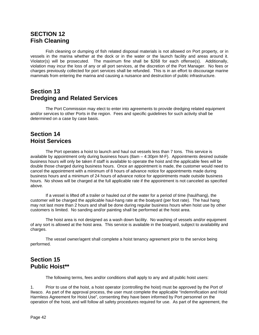### <span id="page-41-1"></span><span id="page-41-0"></span>**SECTION 12 Fish Cleaning**

Fish cleaning or dumping of fish related disposal materials is not allowed on Port property, or in vessels in the marina whether at the dock or in the water or the launch facility and areas around it. Violator(s) will be prosecuted. The maximum fine shall be \$268 for each offense(s). Additionally, violation may incur the loss of any or all port services, at the discretion of the Port Manager. No fees or charges previously collected for port services shall be refunded. This is in an effort to discourage marine mammals from entering the marina and causing a nuisance and destruction of public infrastructure.

### <span id="page-41-3"></span><span id="page-41-2"></span>**Section 13 Dredging and Related Services**

The Port Commission may elect to enter into agreements to provide dredging related equipment and/or services to other Ports in the region. Fees and specific guidelines for such activity shall be determined on a case by case basis.

### <span id="page-41-5"></span><span id="page-41-4"></span>**Section 14 Hoist Services**

The Port operates a hoist to launch and haul out vessels less than 7 tons. This service is available by appointment only during business hours (8am – 4:30pm M-F). Appointments desired outside business hours will only be taken if staff is available to operate the hoist and the applicable fees will be double those charged during business hours. Once an appointment is made, the customer would need to cancel the appointment with a minimum of 8 hours of advance notice for appointments made during business hours and a minimum of 24 hours of advance notice for appointments made outside business hours. No shows will be charged at the full applicable rate if the appointment is not canceled as specified above.

If a vessel is lifted off a trailer or hauled out of the water for a period of time (haul/hang), the customer will be charged the applicable haul-hang rate at the boatyard (per foot rate). The haul hang may not last more than 2 hours and shall be done during regular business hours when hoist use by other customers is limited. No sanding and/or painting shall be performed at the hoist area.

The hoist area is not designed as a wash down facility. No washing of vessels and/or equipment of any sort is allowed at the hoist area. This service is available in the boatyard, subject to availability and charges.

The vessel owner/agent shall complete a hoist tenancy agreement prior to the service being performed.

### <span id="page-41-7"></span><span id="page-41-6"></span>**Section 15 Public Hoist\*\***

The following terms, fees and/or conditions shall apply to any and all public hoist users:

1. Prior to use of the hoist, a hoist operator (controlling the hoist) must be approved by the Port of Ilwaco. As part of the approval process, the user must complete the applicable "Indemnification and Hold Harmless Agreement for Hoist Use", consenting they have been informed by Port personnel on the operation of the hoist, and will follow all safety procedures required for use. As part of the agreement, the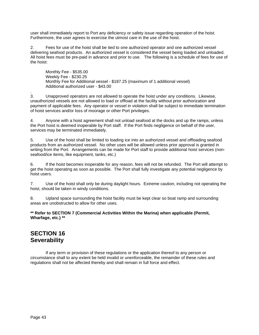user shall immediately report to Port any deficiency or safety issue regarding operation of the hoist. Furthermore, the user agrees to exercise the utmost care in the use of the hoist.

2. Fees for use of the hoist shall be tied to one authorized operator and one authorized vessel delivering seafood products. An authorized vessel is considered the vessel being loaded and unloaded. All hoist fees must be pre-paid in advance and prior to use. The following is a schedule of fees for use of the hoist:

Monthly Fee - \$535.00 Weekly Fee - \$230.25 Monthly Fee for Additional vessel - \$187.25 (maximum of 1 additional vessel) Additional authorized user - \$43.00

. 3. Unapproved operators are not allowed to operate the hoist under any conditions. Likewise, unauthorized vessels are not allowed to load or offload at the facility without prior authorization and payment of applicable fees. Any operator or vessel in violation shall be subject to immediate termination of hoist services and/or loss of moorage or other Port privileges.

4. Anyone with a hoist agreement shall not unload seafood at the docks and up the ramps, unless the Port hoist is deemed inoperable by Port staff. If the Port finds negligence on behalf of the user, services may be terminated immediately.

5. Use of the hoist shall be limited to loading ice into an authorized vessel and offloading seafood products from an authorized vessel. No other uses will be allowed unless prior approval is granted in writing from the Port. Arrangements can be made for Port staff to provide additional hoist services (nonseafood/ice items, like equipment, tanks, etc.)

6. If the hoist becomes inoperable for any reason, fees will not be refunded. The Port will attempt to get the hoist operating as soon as possible. The Port shall fully investigate any potential negligence by hoist users.

7. Use of the hoist shall only be during daylight hours. Extreme caution, including not operating the hoist, should be taken in windy conditions.

8. Upland space surrounding the hoist facility must be kept clear so boat ramp and surrounding areas are unobstructed to allow for other uses.

#### **\*\* Refer to SECTION 7 (Commercial Activities Within the Marina) when applicable (Permit, Wharfage, etc.) \*\***

### <span id="page-42-1"></span><span id="page-42-0"></span>**SECTION 16 Severability**

If any term or provision of these regulations or the application thereof to any person or circumstance shall to any extent be held invalid or unenforceable, the remainder of these rules and regulations shall not be affected thereby and shall remain in full force and effect.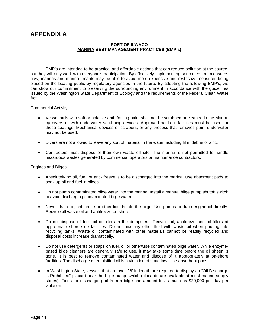### <span id="page-43-0"></span>**APPENDIX A**

#### **PORT OF ILWACO MARINA BEST MANAGEMENT PRACTICES (BMP's)**

BMP's are intended to be practical and affordable actions that can reduce pollution at the source, but they will only work with everyone's participation. By effectively implementing source control measures now, marinas and marina tenants may be able to avoid more expensive and restrictive measures being placed on the boating public by regulatory agencies in the future. By adopting the following BMP's, we can show our commitment to preserving the surrounding environment in accordance with the guidelines issued by the Washington State Department of Ecology and the requirements of the Federal Clean Water Act.

#### Commercial Activity

- Vessel hulls with soft or ablative anti- fouling paint shall not be scrubbed or cleaned in the Marina by divers or with underwater scrubbing devices. Approved haul-out facilities must be used for these coatings. Mechanical devices or scrapers, or any process that removes paint underwater may not be used.
- Divers are not allowed to leave any sort of material in the water including film, debris or zinc.
- Contractors must dispose of their own waste off site. The marina is not permitted to handle hazardous wastes generated by commercial operators or maintenance contractors.

#### Engines and Bilges

- Absolutely no oil, fuel, or anti- freeze is to be discharged into the marina. Use absorbent pads to soak up oil and fuel in bilges.
- Do not pump contaminated bilge water into the marina. Install a manual bilge pump shutoff switch to avoid discharging contaminated bilge water.
- Never drain oil, antifreeze or other liquids into the bilge. Use pumps to drain engine oil directly. Recycle all waste oil and antifreeze on shore.
- Do not dispose of fuel, oil or filters in the dumpsters. Recycle oil, antifreeze and oil filters at appropriate shore-side facilities. Do not mix any other fluid with waste oil when pouring into recycling tanks. Waste oil contaminated with other materials cannot be readily recycled and disposal costs increase dramatically.
- Do not use detergents or soaps on fuel, oil or otherwise contaminated bilge water. While enzymebased bilge cleaners are generally safe to use, it may take some time before the oil sheen is gone. It is best to remove contaminated water and dispose of it appropriately at on-shore facilities. The discharge of emulsified oil is a violation of state law. Use absorbent pads.
- In Washington State, vessels that are over 26' in length are required to display an "Oil Discharge is Prohibited" placard near the bilge pump switch (placards are available at most marine supply stores). Fines for discharging oil from a bilge can amount to as much as \$20,000 per day per violation.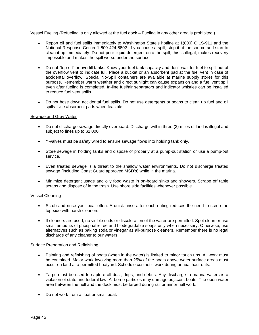Vessel Fueling (Refueling is only allowed at the fuel dock – Fueling in any other area is prohibited.)

- Report oil and fuel spills immediately to Washington State's hotline at 1(800) OILS-911 and the National Response Center 1-800-424-8802. If you cause a spill, stop it at the source and start to clean it up immediately. Do not pour liquid detergent onto the spill; this is illegal, makes recovery impossible and makes the spill worse under the surface.
- Do not "top-off" or overfill tanks. Know your fuel tank capacity and don't wait for fuel to spill out of the overflow vent to indicate full. Place a bucket or an absorbent pad at the fuel vent in case of accidental overflow. Special No-Spill containers are available at marine supply stores for this purpose. Remember warm weather and direct sunlight can cause expansion and a fuel vent spill even after fueling is completed. In-line fuel/air separators and indicator whistles can be installed to reduce fuel vent spills.
- Do not hose down accidental fuel spills. Do not use detergents or soaps to clean up fuel and oil spills. Use absorbent pads when feasible.

#### Sewage and Gray Water

- Do not discharge sewage directly overboard. Discharge within three (3) miles of land is illegal and subject to fines up to \$2,000.
- Y-valves must be safety wired to ensure sewage flows into holding tank only.
- Store sewage in holding tanks and dispose of properly at a pump-out station or use a pump-out service.
- Even treated sewage is a threat to the shallow water environments. Do not discharge treated sewage (including Coast Guard approved MSD's) while in the marina.
- Minimize detergent usage and oily food waste in on-board sinks and showers. Scrape off table scraps and dispose of in the trash. Use shore side facilities whenever possible.

#### Vessel Cleaning

- Scrub and rinse your boat often. A quick rinse after each outing reduces the need to scrub the top-side with harsh cleaners.
- If cleaners are used, no visible suds or discoloration of the water are permitted. Spot clean or use small amounts of phosphate-free and biodegradable soaps only when necessary. Otherwise, use alternatives such as baking soda or vinegar as all-purpose cleaners. Remember there is no legal discharge of any cleaner to our waters.

#### Surface Preparation and Refinishing

- Painting and refinishing of boats (when in the water) is limited to minor touch ups. All work must be contained. Major work involving more than 25% of the boats above water surface areas must occur on land at a permitted boatyard. Schedule cosmetic work during annual haul-outs.
- Tarps must be used to capture all dust, drips, and debris. Any discharge to marina waters is a violation of state and federal law. Airborne particles may damage adjacent boats. The open water area between the hull and the dock must be tarped during rail or minor hull work.
- Do not work from a float or small boat.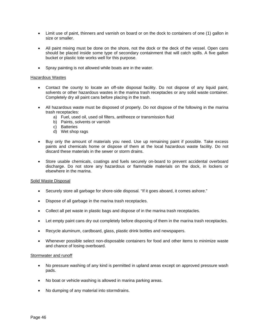- Limit use of paint, thinners and varnish on board or on the dock to containers of one (1) gallon in size or smaller.
- All paint mixing must be done on the shore, not the dock or the deck of the vessel. Open cans should be placed inside some type of secondary containment that will catch spills. A five gallon bucket or plastic tote works well for this purpose.
- Spray painting is not allowed while boats are in the water.

#### Hazardous Wastes

- Contact the county to locate an off-site disposal facility. Do not dispose of any liquid paint, solvents or other hazardous wastes in the marina trash receptacles or any solid waste container. Completely dry all paint cans before placing in the trash.
- All hazardous waste must be disposed of properly. Do not dispose of the following in the marina trash receptacles:
	- a) Fuel, used oil, used oil filters, antifreeze or transmission fluid
	- b) Paints, solvents or varnish
	- c) Batteries
	- d) Wet shop rags
- Buy only the amount of materials you need. Use up remaining paint if possible. Take excess paints and chemicals home or dispose of them at the local hazardous waste facility. Do not discard these materials in the sewer or storm drains.
- Store usable chemicals, coatings and fuels securely on-board to prevent accidental overboard discharge. Do not store any hazardous or flammable materials on the dock, in lockers or elsewhere in the marina.

#### Solid Waste Disposal

- Securely store all garbage for shore-side disposal. "If it goes aboard, it comes ashore."
- Dispose of all garbage in the marina trash receptacles.
- Collect all pet waste in plastic bags and dispose of in the marina trash receptacles.
- Let empty paint cans dry out completely before disposing of them in the marina trash receptacles.
- Recycle aluminum, cardboard, glass, plastic drink bottles and newspapers.
- Whenever possible select non-disposable containers for food and other items to minimize waste and chance of losing overboard.

#### Stormwater and runoff

- No pressure washing of any kind is permitted in upland areas except on approved pressure wash pads.
- No boat or vehicle washing is allowed in marina parking areas.
- No dumping of any material into stormdrains.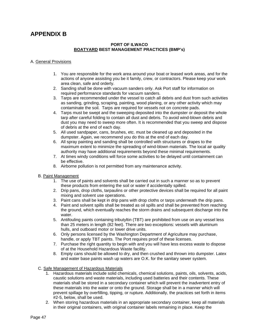### <span id="page-46-0"></span>**APPENDIX B**

#### **PORT OF ILWACO BOATYARD BEST MANAGEMENT PRACTICES (BMP's)**

#### A. General Provisions

- 1. You are responsible for the work area around your boat or leased work areas, and for the actions of anyone assisting you be it family, crew, or contractors. Please keep your work area clean, safe and orderly.
- 2. Sanding shall be done with vacuum sanders only. Ask Port staff for information on required performance standards for vacuum sanders.
- 3. Tarps are recommended under the vessel to catch all debris and dust from such activities as sanding, grinding, scraping, painting, wood planing, or any other activity which may contaminate the soil. Tarps are required for vessels not on concrete pads.
- 4. Tarps must be swept and the sweeping deposited into the dumpster or deposit the whole tarp after careful folding to contain all dust and debris. To avoid wind-blown debris and dust you may need to sweep more often. It is recommended that you sweep and dispose of debris at the end of each day.
- 5. All used sandpaper, cans, brushes, etc. must be cleaned up and deposited in the dumpster. Again, we recommend you do this at the end of each day.
- 6. All spray painting and sanding shall be controlled with structures or drapes to the maximum extent to minimize the spreading of wind-blown materials. The local air quality authority may have additional requirements beyond these minimal requirements.
- 7. At times windy conditions will force some activities to be delayed until containment can be effective.
- 8. Airborne pollution is not permitted from any maintenance activity.
- B. Paint Management
	- 1. The use of paints and solvents shall be carried out in such a manner so as to prevent these products from entering the soil or water if accidentally spilled.
	- 2. Drip pans, drop cloths, tarpaulins or other protective devices shall be required for all paint mixing and solvent use operations.
	- 3. Paint cans shall be kept in drip pans with drop cloths or tarps underneath the drip pans.
	- 4. Paint and solvent spills shall be treated as oil spills and shall be prevented from reaching the ground, which eventually reaches the storm drains and subsequent discharge into the water.
	- 5. Antifouling paints containing tributyltin (TBT) are prohibited from use on any vessel less than 25 meters in length (82 feet). There are two exceptions: vessels with aluminum hulls, and outboard motor or lower drive units.
	- 6. Only persons licensed by the Washington Department of Agriculture may purchase, handle, or apply TBT paints. The Port requires proof of these licenses.
	- 7. Purchase the right quantity to begin with and you will have less excess waste to dispose of at the Household Hazardous Waste facility.
	- 8. Empty cans should be allowed to dry, and then crushed and thrown into dumpster. Latex and water base paints wash up waters are O.K. for the sanitary sewer system.

#### C. Safe Management of Hazardous Materials

- 1. Hazardous materials include solid chemicals, chemical solutions, paints, oils, solvents, acids, caustic solutions and waste materials, including used batteries and their contents. These materials shall be stored in a secondary container which will prevent the inadvertent entry of these materials into the water or onto the ground. Storage shall be in a manner which will prevent spillage by overfilling, tipping, or rupture. Additionally, the practices set forth in items #2-5, below, shall be used.
- 2. When storing hazardous materials in an appropriate secondary container, keep all materials in their original containers, with original container labels remaining in place. Keep the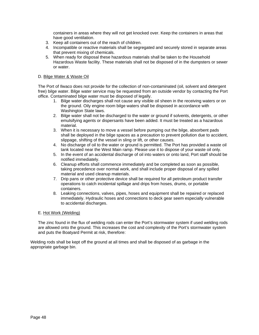containers in areas where they will not get knocked over. Keep the containers in areas that have good ventilation.

- 3. Keep all containers out of the reach of children.
- 4. Incompatible or reactive materials shall be segregated and securely stored in separate areas that prevent mixing of chemicals.
- 5. When ready for disposal these hazardous materials shall be taken to the Household Hazardous Waste facility. These materials shall not be disposed of in the dumpsters or sewer or water.

#### D. Bilge Water & Waste Oil

The Port of Ilwaco does not provide for the collection of non-contaminated (oil, solvent and detergent free) bilge water. Bilge water service may be requested from an outside vendor by contacting the Port office. Contaminated bilge water must be disposed of legally.

- 1. Bilge water discharges shall not cause any visible oil sheen in the receiving waters or on the ground. Oily engine room bilge waters shall be disposed in accordance with Washington State laws.
- 2. Bilge water shall not be discharged to the water or ground if solvents, detergents, or other emulsifying agents or dispersants have been added. It must be treated as a hazardous material.
- 3. When it is necessary to move a vessel before pumping out the bilge, absorbent pads shall be deployed in the bilge spaces as a precaution to prevent pollution due to accident, slippage, shifting of the vessel in sling or lift, or other causes.
- 4. No discharge of oil to the water or ground is permitted. The Port has provided a waste oil tank located near the West Main ramp. Please use it to dispose of your waste oil only.
- 5. In the event of an accidental discharge of oil into waters or onto land, Port staff should be notified immediately.
- 6. Cleanup efforts shall commence immediately and be completed as soon as possible, taking precedence over normal work, and shall include proper disposal of any spilled material and used cleanup materials.
- 7. Drip pans or other protective device shall be required for all petroleum product transfer operations to catch incidental spillage and drips from hoses, drums, or portable containers.
- 8. Leaking connections, valves, pipes, hoses and equipment shall be repaired or replaced immediately. Hydraulic hoses and connections to deck gear seem especially vulnerable to accidental discharges.

#### E. Hot Work (Welding)

The zinc found in the flux of welding rods can enter the Port's stormwater system if used welding rods are allowed onto the ground. This increases the cost and complexity of the Port's stormwater system and puts the Boatyard Permit at risk, therefore:

Welding rods shall be kept off the ground at all times and shall be disposed of as garbage in the appropriate garbage bin.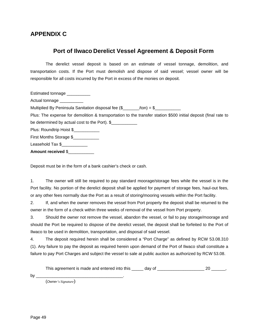### **APPENDIX C**

### **Port of Ilwaco Derelict Vessel Agreement & Deposit Form**

The derelict vessel deposit is based on an estimate of vessel tonnage, demolition, and transportation costs. If the Port must demolish and dispose of said vessel; vessel owner will be responsible for all costs incurred by the Port in excess of the monies on deposit.

| Estimated tonnage __________                                                                                   |
|----------------------------------------------------------------------------------------------------------------|
| Actual tonnage __________                                                                                      |
| Multiplied By Peninsula Sanitation disposal fee $(\frac{6}{2} - \frac{1}{2})$ (ton) = \$                       |
| Plus: The expense for demolition & transportation to the transfer station \$500 initial deposit (final rate to |
| be determined by actual cost to the Port). $\frac{1}{2}$                                                       |
| Plus: Roundtrip Hoist \$                                                                                       |
| First Months Storage \$                                                                                        |
| Leasehold Tax \$                                                                                               |
| <b>Amount received \$</b>                                                                                      |

Deposit must be in the form of a bank cashier's check or cash.

1. The owner will still be required to pay standard moorage/storage fees while the vessel is in the Port facility. No portion of the derelict deposit shall be applied for payment of storage fees, haul-out fees, or any other fees normally due the Port as a result of storing/mooring vessels within the Port facility.

2. If, and when the owner removes the vessel from Port property the deposit shall be returned to the owner in the form of a check within three weeks of removal of the vessel from Port property.

3. Should the owner not remove the vessel, abandon the vessel, or fail to pay storage/moorage and should the Port be required to dispose of the derelict vessel, the deposit shall be forfeited to the Port of Ilwaco to be used in demolition, transportation, and disposal of said vessel.

4. The deposit required herein shall be considered a "Port Charge" as defined by RCW 53.08.310 (1). Any failure to pay the deposit as required herein upon demand of the Port of Ilwaco shall constitute a failure to pay Port Charges and subject the vessel to sale at public auction as authorized by RCW 53.08.

This agreement is made and entered into this \_\_\_\_\_ day of \_\_\_\_\_\_\_\_\_\_\_\_\_\_\_\_\_\_\_\_\_\_ 20 \_\_\_\_\_\_,

by  $\_\_$ 

(*Owner's Signature*)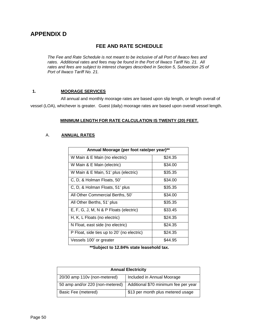### **APPENDIX D**

### **FEE AND RATE SCHEDULE**

*The Fee and Rate Schedule is not meant to be inclusive of all Port of Ilwaco fees and rates. Additional rates and fees may be found in the Port of Ilwaco Tariff No. 21. All rates and fees are subject to interest charges described in Section 5, Subsection 25 of Port of Ilwaco Tariff No. 21.*

#### **1. MOORAGE SERVICES**

All annual and monthly moorage rates are based upon slip length, or length overall of vessel (LOA), whichever is greater. Guest (daily) moorage rates are based upon overall vessel length.

#### **MINIMUM LENGTH FOR RATE CALCULATION IS TWENTY (20) FEET.**

#### A. **ANNUAL RATES**

| Annual Moorage (per foot rate/per year)**  |         |  |
|--------------------------------------------|---------|--|
| W Main & E Main (no electric)              | \$24.35 |  |
| W Main & E Main (electric)                 | \$34.00 |  |
| W Main & E Main, 51' plus (electric)       | \$35.35 |  |
| C, D, & Holman Floats, 50'                 | \$34.00 |  |
| C, D, & Holman Floats, 51' plus            | \$35.35 |  |
| All Other Commercial Berths, 50'           | \$34.00 |  |
| All Other Berths, 51' plus                 | \$35.35 |  |
| E, F, G, J, M, N & P Floats (electric)     | \$33.45 |  |
| H, K, L Floats (no electric)               | \$24.35 |  |
| N Float, east side (no electric)           | \$24.35 |  |
| P Float, side ties up to 20' (no electric) | \$24.35 |  |
| Vessels 100' or greater                    | \$44.95 |  |

**\*\*Subject to 12.84% state leasehold tax.**

| <b>Annual Electricity</b>       |                                      |
|---------------------------------|--------------------------------------|
| 20/30 amp 110v (non-metered)    | Included in Annual Moorage           |
| 50 amp and/or 220 (non-metered) | Additional \$70 minimum fee per year |
| Basic Fee (metered)             | \$13 per month plus metered usage    |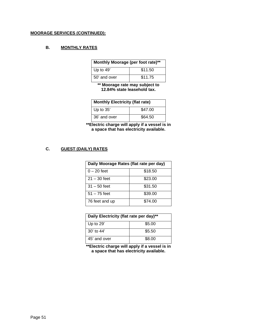#### **MOORAGE SERVICES (CONTINUED):**

#### **B. MONTHLY RATES**

| Monthly Moorage (per foot rate)** |         |
|-----------------------------------|---------|
| Up to 49'                         | \$11.50 |
| 50' and over                      | \$11.75 |

**\*\* Moorage rate may subject to 12.84% state leasehold tax.**

| <b>Monthly Electricity (flat rate)</b> |         |
|----------------------------------------|---------|
| Up to 35'                              | \$47.00 |
| 36' and over                           | \$64.50 |

**\*\*Electric charge will apply if a vessel is in a space that has electricity available.**

#### **C. GUEST (DAILY) RATES**

| Daily Moorage Rates (flat rate per day) |         |  |
|-----------------------------------------|---------|--|
| $0 - 20$ feet                           | \$18.50 |  |
| $21 - 30$ feet                          | \$23.00 |  |
| $31 - 50$ feet                          | \$31.50 |  |
| $51 - 75$ feet                          | \$39.00 |  |
| 76 feet and up                          | \$74.00 |  |

| Daily Electricity (flat rate per day)** |        |
|-----------------------------------------|--------|
| Up to $29'$                             | \$5.00 |
| $30'$ to $44'$                          | \$5.50 |
| 45' and over                            | \$8.00 |

**\*\*Electric charge will apply if a vessel is in a space that has electricity available.**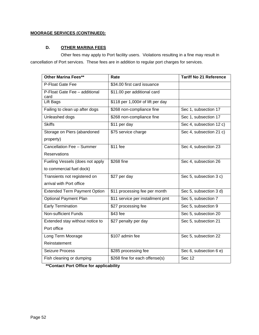#### **MOORAGE SERVICES (CONTINUED):**

#### **D. OTHER MARINA FEES**

Other fees may apply to Port facility users. Violations resulting in a fine may result in cancellation of Port services. These fees are in addition to regular port charges for services.

| <b>Other Marina Fees**</b>            | Rate                             | <b>Tariff No 21 Reference</b> |
|---------------------------------------|----------------------------------|-------------------------------|
| P-Float Gate Fee                      | \$34.00 first card issuance      |                               |
| P-Float Gate Fee - additional<br>card | \$11.00 per additional card      |                               |
| Lift Bags                             | \$118 per 1,000# of lift per day |                               |
| Failing to clean up after dogs        | \$268 non-compliance fine        | Sec 1, subsection 17          |
| Unleashed dogs                        | \$268 non-compliance fine        | Sec 1, subsection 17          |
| <b>Skiffs</b>                         | \$11 per day                     | Sec 4, subsection 12 c)       |
| Storage on Piers (abandoned           | \$75 service charge              | Sec 4, subsection 21 c)       |
| property)                             |                                  |                               |
| Cancellation Fee - Summer             | \$11 fee                         | Sec 4, subsection 23          |
| Reservations                          |                                  |                               |
| Fueling Vessels (does not apply       | \$268 fine                       | Sec 4, subsection 26          |
| to commercial fuel dock)              |                                  |                               |
| Transients not registered on          | \$27 per day                     | Sec 5, subsection 3 c)        |
| arrival with Port office              |                                  |                               |
| <b>Extended Term Payment Option</b>   | \$11 processing fee per month    | Sec 5, subsection 3 d)        |
| <b>Optional Payment Plan</b>          | \$11 service per installment pmt | Sec 5, subsection 7           |
| Early Termination                     | \$27 processing fee              | Sec 5, subsection 9           |
| Non-sufficient Funds                  | \$43 fee                         | Sec 5, subsection 20          |
| Extended stay without notice to       | \$27 penalty per day             | Sec 5, subsection 21          |
| Port office                           |                                  |                               |
| Long Term Moorage                     | \$107 admin fee                  | Sec 5, subsection 22          |
| Reinstatement                         |                                  |                               |
| Seizure Process                       | \$285 processing fee             | Sec 6, subsection 6 e)        |
| Fish cleaning or dumping              | \$268 fine for each offense(s)   | <b>Sec 12</b>                 |

**\*\*Contact Port Office for applicability**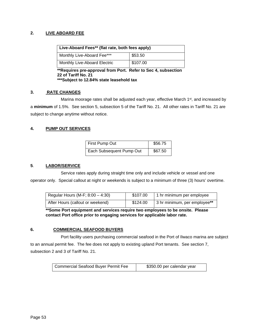#### **2. LIVE ABOARD FEE**

| Live-Aboard Fees** (flat rate, both fees apply) |          |
|-------------------------------------------------|----------|
| Monthly Live-Aboard Fee***                      | \$53.50  |
| Monthly Live-Aboard Electric                    | \$107.00 |

**\*\*Requires pre-approval from Port. Refer to Sec 4, subsection 22 of Tariff No. 21 \*\*\*Subject to 12.84% state leasehold tax**

#### **3. RATE CHANGES**

Marina moorage rates shall be adjusted each year, effective March  $1<sup>st</sup>$ , and increased by a **minimum** of 1.5%. See section 5, subsection 5 of the Tariff No. 21. All other rates in Tariff No. 21 are subject to change anytime without notice.

#### **4. PUMP OUT SERVICES**

| First Pump Out           | \$56.75 |
|--------------------------|---------|
| Each Subsequent Pump Out | \$67.50 |

#### **5**. **LABOR/SERVICE**

Service rates apply during straight time only and include vehicle or vessel and one operator only. Special callout at night or weekends is subject to a minimum of three (3) hours' overtime.

| Regular Hours (M-F; $8:00 - 4:30$ ) | \$107.00 | 1 hr minimum per employee    |
|-------------------------------------|----------|------------------------------|
| After Hours (callout or weekend)    | \$124.00 | 3 hr minimum, per employee** |

**\*\*Some Port equipment and services require two employees to be onsite. Please contact Port office prior to engaging services for applicable labor rate.**

#### **6. COMMERCIAL SEAFOOD BUYERS**

Port facility users purchasing commercial seafood in the Port of Ilwaco marina are subject to an annual permit fee. The fee does not apply to existing upland Port tenants. See section 7, subsection 2 and 3 of Tariff No. 21.

| <b>Commercial Seafood Buyer Permit Fee</b> | \$350.00 per calendar year |
|--------------------------------------------|----------------------------|
|--------------------------------------------|----------------------------|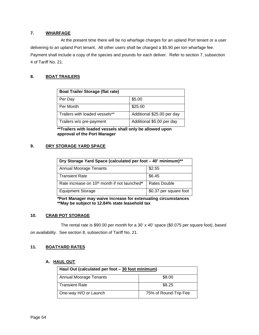#### **7. WHARFAGE**

At the present time there will be no wharfage charges for an upland Port tenant or a user delivering to an upland Port tenant. All other users shall be charged a \$5.90 per ton wharfage fee. Payment shall include a copy of the species and pounds for each deliver. Refer to section 7, subsection 4 of Tariff No. 21.

#### **8. BOAT TRAILERS**

| <b>Boat Trailer Storage (flat rate)</b> |                            |
|-----------------------------------------|----------------------------|
| Per Day                                 | \$5.00                     |
| Per Month                               | \$25.00                    |
| Trailers with loaded vessels**          | Additional \$25.00 per day |
| Trailers w/o pre-payment                | Additional \$5.00 per day  |

**\*\*Trailers with loaded vessels shall only be allowed upon approval of the Port Manager**

#### **9. DRY STORAGE YARD SPACE**

| Dry Storage Yard Space (calculated per foot - 40' minimum)** |                        |
|--------------------------------------------------------------|------------------------|
| <b>Annual Moorage Tenants</b>                                | \$2.55                 |
| <b>Transient Rate</b>                                        | \$6.45                 |
| Rate increase on 10 <sup>th</sup> month if not launched*     | <b>Rates Double</b>    |
| <b>Equipment Storage</b>                                     | \$0.37 per square foot |

**\*Port Manager may waive increase for extenuating circumstances \*\*May be subject to 12.84% state leasehold tax**

#### **10. CRAB POT STORAGE**

The rental rate is \$90.00 per month for a 30' x 40' space (\$0.075 per square foot), based on availability. See section 8, subsection of Tariff No. 21.

#### **11. BOATYARD RATES**

#### **A. HAUL OUT**

| Haul Out (calculated per foot - 30 foot minimum) |                       |  |
|--------------------------------------------------|-----------------------|--|
| Annual Moorage Tenants                           | \$8.00                |  |
| <b>Transient Rate</b>                            | \$8.25                |  |
| One-way H/O or Launch                            | 75% of Round-Trip Fee |  |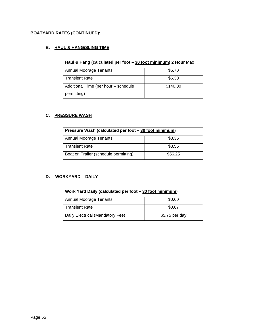### **BOATYARD RATES (CONTINUED):**

### **B. HAUL & HANG/SLING TIME**

| Haul & Hang (calculated per foot - 30 foot minimum) 2 Hour Max |          |
|----------------------------------------------------------------|----------|
| <b>Annual Moorage Tenants</b>                                  | \$5.70   |
| <b>Transient Rate</b>                                          | \$6.30   |
| Additional Time (per hour - schedule                           | \$140.00 |
| permitting)                                                    |          |

#### **C. PRESSURE WASH**

| Pressure Wash (calculated per foot - 30 foot minimum) |         |
|-------------------------------------------------------|---------|
| Annual Moorage Tenants                                | \$3.35  |
| <b>Transient Rate</b>                                 | \$3.55  |
| Boat on Trailer (schedule permitting)                 | \$56.25 |

### **D. WORKYARD – DAILY**

| Work Yard Daily (calculated per foot - 30 foot minimum) |                |
|---------------------------------------------------------|----------------|
| Annual Moorage Tenants                                  | \$0.60         |
| <b>Transient Rate</b>                                   | \$0.67         |
| Daily Electrical (Mandatory Fee)                        | \$5.75 per day |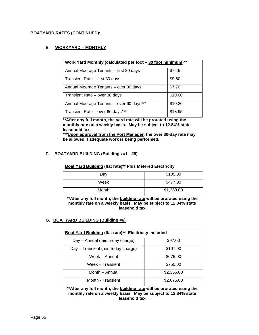#### **BOATYARD RATES (CONTINUED):**

#### **E. WORKYARD – MONTHLY**

| Work Yard Monthly (calculated per foot – 30 foot minimum)** |         |  |
|-------------------------------------------------------------|---------|--|
| Annual Moorage Tenants - first 30 days                      | \$7.45  |  |
| Transient Rate - first 30 days                              | \$9.60  |  |
| Annual Moorage Tenants - over 30 days                       | \$7.70  |  |
| Transient Rate - over 30 days                               | \$10.00 |  |
| Annual Moorage Tenants - over 60 days***                    | \$10.20 |  |
| Transient Rate - over 60 days***                            | \$13.95 |  |

**\*\*After any full month, the yard rate will be prorated using the monthly rate on a weekly basis. May be subject to 12.84% state leasehold tax.** 

**\*\*\*Upon approval from the Port Manager, the over 30-day rate may be allowed if adequate work is being performed.** 

#### **F. BOATYARD BUILDING (Buildings #1 - #5)**

| Boat Yard Building (flat rate)** Plus Metered Electricity |            |
|-----------------------------------------------------------|------------|
| Day                                                       | \$105.00   |
| Week                                                      | \$477.00   |
| Month                                                     | \$1,268.00 |

**\*\*After any full month, the building rate will be prorated using the monthly rate on a weekly basis. May be subject to 12.84% state leasehold tax**

#### **G. BOATYARD BUILDING (Building #6)**

| Boat Yard Building (flat rate)** Electricity Included |            |  |
|-------------------------------------------------------|------------|--|
| Day - Annual (min 5-day charge)                       | \$97.00    |  |
| Day - Transient (min 5-day charge)                    | \$107.00   |  |
| Week - Annual                                         | \$675.00   |  |
| Week - Transient                                      | \$750.00   |  |
| Month - Annual                                        | \$2,355.00 |  |
| Month - Transient                                     | \$2,675.00 |  |

**\*\*After any full month, the building rate will be prorated using the monthly rate on a weekly basis. May be subject to 12.84% state leasehold tax**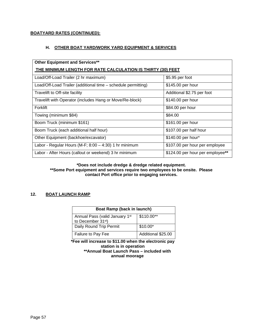#### **BOATYARD RATES (CONTINUED):**

#### **H. OTHER BOAT YARD/WORK YARD EQUIPMENT & SERVICES**

| <b>Other Equipment and Services**</b>                         |                                  |  |
|---------------------------------------------------------------|----------------------------------|--|
| THE MINIMUM LENGTH FOR RATE CALCULATION IS THIRTY (30) FEET   |                                  |  |
| Load/Off-Load Trailer (2 hr maximum)                          | \$5.95 per foot                  |  |
| Load/Off-Load Trailer (additional time – schedule permitting) | \$145.00 per hour                |  |
| Travelift to Off-site facility                                | Additional \$2.75 per foot       |  |
| Travelift with Operator (includes Hang or Move/Re-block)      | \$140.00 per hour                |  |
| Forklift                                                      | \$84.00 per hour                 |  |
| Towing (minimum \$84)                                         | \$84.00                          |  |
| Boom Truck (minimum \$161)                                    | \$161.00 per hour                |  |
| Boom Truck (each additional half hour)                        | \$107.00 per half hour           |  |
| Other Equipment (backhoe/excavator)                           | \$140.00 per hour*               |  |
| Labor - Regular Hours (M-F; $8:00 - 4:30$ ) 1 hr minimum      | \$107.00 per hour per employee   |  |
| Labor - After Hours (callout or weekend) 3 hr minimum         | \$124.00 per hour per employee** |  |

#### **\*Does not include dredge & dredge related equipment. \*\*Some Port equipment and services require two employees to be onsite. Please contact Port office prior to engaging services.**

### **12. BOAT LAUNCH RAMP**

| Boat Ramp (back in launch)                                |                    |
|-----------------------------------------------------------|--------------------|
| Annual Pass (valid January 1st)                           | $$110.00**$        |
| to December 31 <sup>st</sup> )<br>Daily Round Trip Permit | $$10.00*$          |
| Failure to Pay Fee                                        | Additional \$25.00 |

**\*Fee will increase to \$11.00 when the electronic pay station is in operation \*\*Annual Boat Launch Pass – included with annual moorage**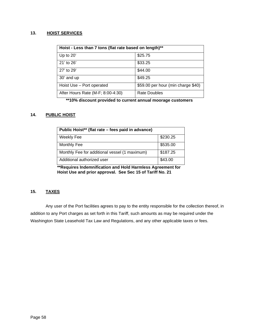#### **13. HOIST SERVICES**

| Hoist - Less than 7 tons (flat rate based on length)** |                                    |  |
|--------------------------------------------------------|------------------------------------|--|
| Up to $20'$                                            | \$25.75                            |  |
| $21'$ to $26'$                                         | \$33.25                            |  |
| 27' to 29'                                             | \$44.00                            |  |
| 30' and up                                             | \$49.25                            |  |
| Hoist Use - Port operated                              | \$59.00 per hour (min charge \$40) |  |
| After Hours Rate (M-F; 8:00-4:30)                      | <b>Rate Doubles</b>                |  |

**\*\*10% discount provided to current annual moorage customers**

#### **14. PUBLIC HOIST**

| Public Hoist** (flat rate - fees paid in advance) |          |  |
|---------------------------------------------------|----------|--|
| Weekly Fee                                        | \$230.25 |  |
| Monthly Fee                                       | \$535.00 |  |
| Monthly Fee for additional vessel (1 maximum)     | \$187.25 |  |
| Additional authorized user                        | \$43.00  |  |

**\*\*Requires Indemnification and Hold Harmless Agreement for Hoist Use and prior approval. See Sec 15 of Tariff No. 21**

#### **15. TAXES**

Any user of the Port facilities agrees to pay to the entity responsible for the collection thereof, in addition to any Port charges as set forth in this Tariff, such amounts as may be required under the Washington State Leasehold Tax Law and Regulations, and any other applicable taxes or fees.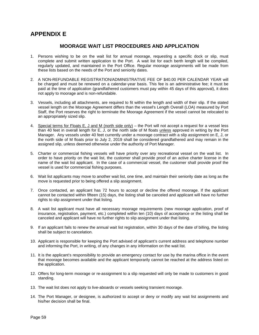### **APPENDIX E**

#### **MOORAGE WAIT LIST PROCEDURES AND APPLICATION**

- 1. Persons wishing to be on the wait list for annual moorage, requesting a specific dock or slip, must complete and submit written application to the Port. A wait list for each berth length will be compiled, regularly updated, and maintained in the Port Office. Regular moorage assignments will be made from these lists based on the needs of the Port and seniority dates.
- 2. A NON-REFUNDABLE REGISTRATION/ADMINISTRATIVE FEE OF \$40.00 PER CALENDAR YEAR will be charged and must be renewed on a calendar-year basis. This fee is an administrative fee; it must be paid at the time of application (grandfathered customers must pay within 45 days of this approval), it does not apply to moorage and is non-refundable.
- 3. Vessels, including all attachments, are required to fit within the length and width of their slip. If the stated vessel length on the Moorage Agreement differs than the vessel's Length Overall (LOA) measured by Port Staff, the Port reserves the right to terminate the Moorage Agreement if the vessel cannot be relocated to an appropriately sized slip.
- 4. Special terms for Floats E, J and M (north side only) the Port will not accept a request for a vessel less than 40 feet in overall length for E, J, or the north side of M floats unless approved in writing by the Port Manager. Any vessels under 40 feet currently under a moorage contract with a slip assignment on E, J, or the north side of M floats prior to July 2, 2019 shall be considered grandfathered and may remain in the assigned slip, unless deemed otherwise under the authority of Port Manager.
- 5. Charter or commercial fishing vessels will have priority over any recreational vessel on the wait list. In order to have priority on the wait list, the customer shall provide proof of an active charter license in the name of the wait list applicant. In the case of a commercial vessel, the customer shall provide proof the vessel is used for commercial fishing purposes.
- 6. Wait list applicants may move to another wait list, one time, and maintain their seniority date as long as the move is requested prior to being offered a slip assignment.
- 7. Once contacted, an applicant has 72 hours to accept or decline the offered moorage. If the applicant cannot be contacted within fifteen (15) days, the listing shall be canceled and applicant will have no further rights to slip assignment under that listing.
- 8. A wait list applicant must have all necessary moorage requirements (new moorage application, proof of insurance, registration, payment, etc.) completed within ten (10) days of acceptance or the listing shall be canceled and applicant will have no further rights to slip assignment under that listing.
- 9. If an applicant fails to renew the annual wait list registration, within 30 days of the date of billing, the listing shall be subject to cancelation.
- 10. Applicant is responsible for keeping the Port advised of applicant's current address and telephone number and informing the Port, in writing, of any changes in any information on the wait list.
- 11. It is the applicant's responsibility to provide an emergency contact for use by the marina office in the event that moorage becomes available and the applicant temporarily cannot be reached at the address listed on the application.
- 12. Offers for long-term moorage or re-assignment to a slip requested will only be made to customers in good standing.
- 13. The wait list does not apply to live-aboards or vessels seeking transient moorage.
- 14. The Port Manager, or designee, is authorized to accept or deny or modify any wait list assignments and his/her decision shall be final.